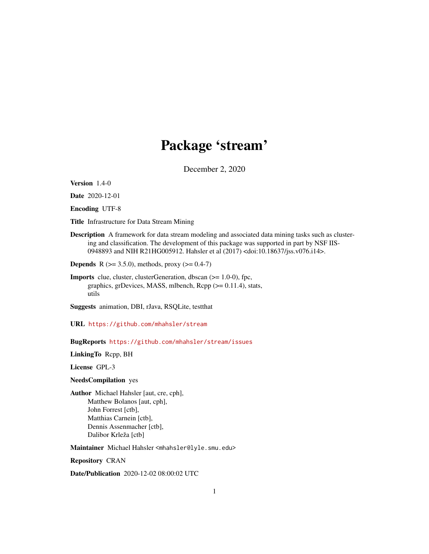# Package 'stream'

December 2, 2020

<span id="page-0-0"></span>Version 1.4-0

Date 2020-12-01

Encoding UTF-8

Title Infrastructure for Data Stream Mining

Description A framework for data stream modeling and associated data mining tasks such as clustering and classification. The development of this package was supported in part by NSF IIS-0948893 and NIH R21HG005912. Hahsler et al (2017) <doi:10.18637/jss.v076.i14>.

**Depends** R ( $>= 3.5.0$ ), methods, proxy ( $>= 0.4-7$ )

Imports clue, cluster, clusterGeneration, dbscan (>= 1.0-0), fpc, graphics, grDevices, MASS, mlbench, Rcpp (>= 0.11.4), stats, utils

Suggests animation, DBI, rJava, RSQLite, testthat

URL <https://github.com/mhahsler/stream>

BugReports <https://github.com/mhahsler/stream/issues>

LinkingTo Rcpp, BH

License GPL-3

NeedsCompilation yes

Author Michael Hahsler [aut, cre, cph], Matthew Bolanos [aut, cph], John Forrest [ctb], Matthias Carnein [ctb], Dennis Assenmacher [ctb], Dalibor Krleža [ctb]

Maintainer Michael Hahsler <mhahsler@lyle.smu.edu>

Repository CRAN

Date/Publication 2020-12-02 08:00:02 UTC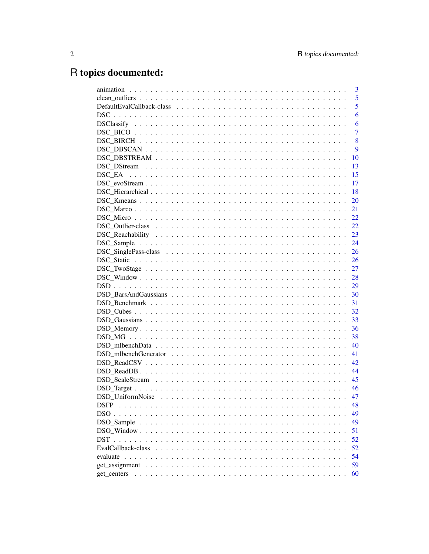# R topics documented:

|                                                                                                      | 3              |
|------------------------------------------------------------------------------------------------------|----------------|
|                                                                                                      | 5              |
|                                                                                                      | 5              |
|                                                                                                      | 6              |
|                                                                                                      | 6              |
|                                                                                                      | $\overline{7}$ |
|                                                                                                      | 8              |
|                                                                                                      | 9              |
|                                                                                                      | 10             |
|                                                                                                      | 13             |
|                                                                                                      | 15             |
| $DSC\_evoStream \ldots \ldots \ldots \ldots \ldots \ldots \ldots \ldots \ldots \ldots \ldots \ldots$ | 17             |
|                                                                                                      | 18             |
|                                                                                                      | <b>20</b>      |
|                                                                                                      | 21             |
|                                                                                                      |                |
|                                                                                                      |                |
|                                                                                                      |                |
|                                                                                                      |                |
|                                                                                                      |                |
|                                                                                                      |                |
|                                                                                                      |                |
|                                                                                                      |                |
|                                                                                                      |                |
|                                                                                                      |                |
|                                                                                                      |                |
|                                                                                                      | 32             |
|                                                                                                      | 33             |
|                                                                                                      | 36             |
|                                                                                                      | 38             |
|                                                                                                      | 40             |
|                                                                                                      | 41             |
|                                                                                                      | 42             |
|                                                                                                      | 44             |
|                                                                                                      |                |
|                                                                                                      | - 46           |
|                                                                                                      | 47             |
| <b>DSFP</b>                                                                                          | 48             |
|                                                                                                      | 49             |
| DSO_Sample                                                                                           | 49             |
|                                                                                                      | 51             |
|                                                                                                      | 52             |
|                                                                                                      | 52             |
|                                                                                                      | 54             |
|                                                                                                      | 59             |
| get_centers                                                                                          | 60             |
|                                                                                                      |                |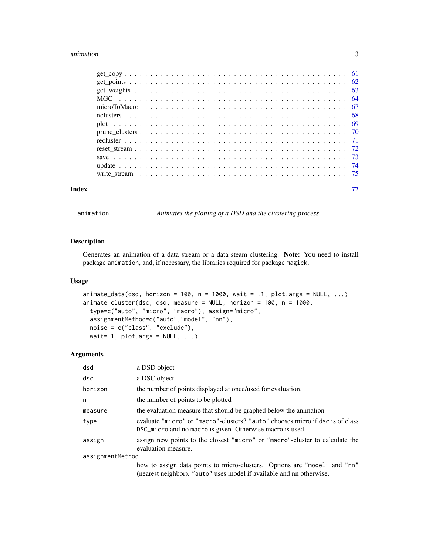#### <span id="page-2-0"></span>animation 3

| Index |  |
|-------|--|
|       |  |

animation *Animates the plotting of a DSD and the clustering process*

## <span id="page-2-1"></span>Description

Generates an animation of a data stream or a data steam clustering. Note: You need to install package animation, and, if necessary, the libraries required for package magick.

## Usage

```
animate_data(dsd, horizon = 100, n = 1000, wait = .1, plot.args = NULL, \dots)
animate_cluster(dsc, dsd, measure = NULL, horizon = 100, n = 1000,
 type=c("auto", "micro", "macro"), assign="micro",
 assignmentMethod=c("auto","model", "nn"),
 noise = c("class", "exclude"),
 wait=.1, plot.args = NULL, ...
```
## Arguments

| dsd              | a DSD object                                                                                                                                      |
|------------------|---------------------------------------------------------------------------------------------------------------------------------------------------|
| dsc              | a DSC object                                                                                                                                      |
| horizon          | the number of points displayed at once/used for evaluation.                                                                                       |
| n                | the number of points to be plotted                                                                                                                |
| measure          | the evaluation measure that should be graphed below the animation                                                                                 |
| type             | evaluate "micro" or "macro"-clusters? "auto" chooses micro if dsc is of class<br>DSC_micro and no macro is given. Otherwise macro is used.        |
| assign           | assign new points to the closest "micro" or "macro"-cluster to calculate the<br>evaluation measure.                                               |
| assignmentMethod |                                                                                                                                                   |
|                  | how to assign data points to micro-clusters. Options are "model" and "nn"<br>(nearest neighbor). "auto" uses model if available and nn otherwise. |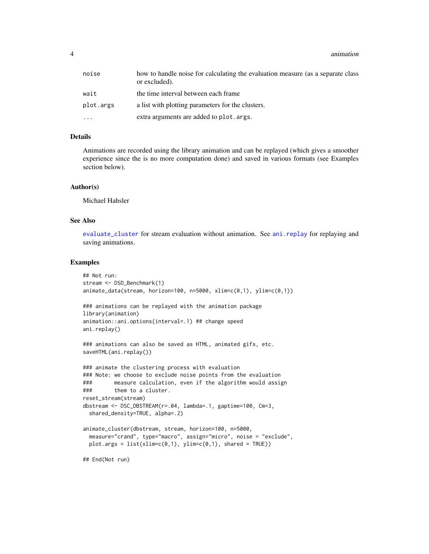4 animation

| noise     | how to handle noise for calculating the evaluation measure (as a separate class<br>or excluded). |
|-----------|--------------------------------------------------------------------------------------------------|
| wait      | the time interval between each frame.                                                            |
| plot.args | a list with plotting parameters for the clusters.                                                |
| $\ddotsc$ | extra arguments are added to plot. args.                                                         |

#### Details

Animations are recorded using the library animation and can be replayed (which gives a smoother experience since the is no more computation done) and saved in various formats (see Examples section below).

#### Author(s)

Michael Hahsler

## See Also

[evaluate\\_cluster](#page-53-1) for stream evaluation without animation. See [ani.replay](#page-0-0) for replaying and saving animations.

#### Examples

```
## Not run:
stream <- DSD_Benchmark(1)
animate_data(stream, horizon=100, n=5000, xlim=c(0,1), ylim=c(0,1))
### animations can be replayed with the animation package
library(animation)
animation::ani.options(interval=.1) ## change speed
ani.replay()
### animations can also be saved as HTML, animated gifs, etc.
saveHTML(ani.replay())
### animate the clustering process with evaluation
### Note: we choose to exclude noise points from the evaluation
### measure calculation, even if the algorithm would assign
### them to a cluster.
reset_stream(stream)
dbstream <- DSC_DBSTREAM(r=.04, lambda=.1, gaptime=100, Cm=3,
 shared_density=TRUE, alpha=.2)
animate_cluster(dbstream, stream, horizon=100, n=5000,
 measure="crand", type="macro", assign="micro", noise = "exclude",
 plot.args = list(xlim=c(0,1), ylim=c(0,1), shared = TRUE)
```
## End(Not run)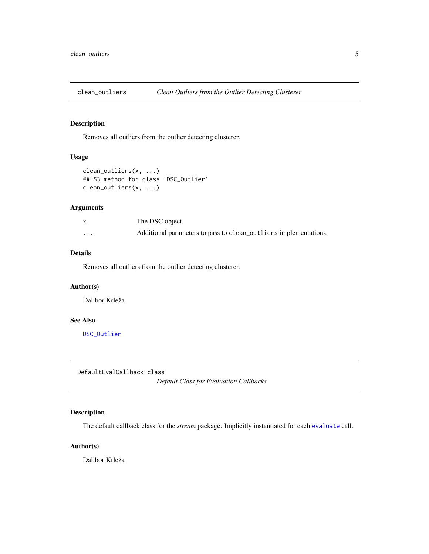<span id="page-4-0"></span>clean\_outliers *Clean Outliers from the Outlier Detecting Clusterer*

## Description

Removes all outliers from the outlier detecting clusterer.

## Usage

```
clean_outliers(x, ...)
## S3 method for class 'DSC_Outlier'
clean_outliers(x, ...)
```
## Arguments

|          | The DSC object.                                                  |
|----------|------------------------------------------------------------------|
| $\cdots$ | Additional parameters to pass to clean_outliers implementations. |

## Details

Removes all outliers from the outlier detecting clusterer.

## Author(s)

Dalibor Krleža

## See Also

[DSC\\_Outlier](#page-21-1)

DefaultEvalCallback-class

*Default Class for Evaluation Callbacks*

## Description

The default callback class for the *stream* package. Implicitly instantiated for each [evaluate](#page-53-2) call.

## Author(s)

Dalibor Krleža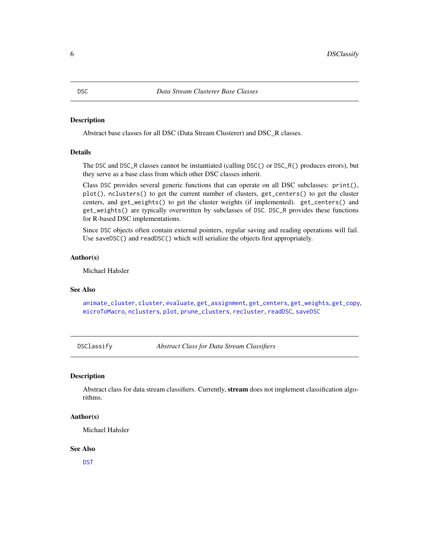<span id="page-5-1"></span><span id="page-5-0"></span>Abstract base classes for all DSC (Data Stream Clusterer) and DSC\_R classes.

## Details

The DSC and DSC\_R classes cannot be instantiated (calling DSC() or DSC\_R() produces errors), but they serve as a base class from which other DSC classes inherit.

Class DSC provides several generic functions that can operate on all DSC subclasses: print(), plot(), nclusters() to get the current number of clusters, get\_centers() to get the cluster centers, and get\_weights() to get the cluster weights (if implemented). get\_centers() and get\_weights() are typically overwritten by subclasses of DSC. DSC\_R provides these functions for R-based DSC implementations.

Since DSC objects often contain external pointers, regular saving and reading operations will fail. Use saveDSC() and readDSC() which will serialize the objects first appropriately.

## Author(s)

Michael Hahsler

#### See Also

[animate\\_cluster](#page-2-1), [cluster](#page-0-0), [evaluate](#page-53-2), [get\\_assignment](#page-58-1), [get\\_centers](#page-59-1), [get\\_weights](#page-62-1), [get\\_copy](#page-60-1), [microToMacro](#page-66-1), [nclusters](#page-67-1), [plot](#page-68-1), [prune\\_clusters](#page-69-1), [recluster](#page-70-1), [readDSC](#page-72-1), [saveDSC](#page-72-1)

DSClassify *Abstract Class for Data Stream Classifiers*

## Description

Abstract class for data stream classifiers. Currently, stream does not implement classification algorithms.

#### Author(s)

Michael Hahsler

#### See Also

[DST](#page-51-1)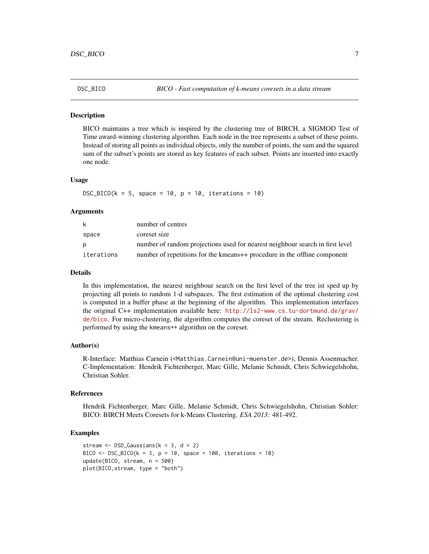<span id="page-6-0"></span>

BICO maintains a tree which is inspired by the clustering tree of BIRCH, a SIGMOD Test of Time award-winning clustering algorithm. Each node in the tree represents a subset of these points. Instead of storing all points as individual objects, only the number of points, the sum and the squared sum of the subset's points are stored as key features of each subset. Points are inserted into exactly one node.

#### Usage

 $DSC_BICO(k = 5, space = 10, p = 10, iterations = 10)$ 

#### Arguments

| k          | number of centres                                                             |
|------------|-------------------------------------------------------------------------------|
| space      | coreset size                                                                  |
| D          | number of random projections used for nearest neighbour search in first level |
| iterations | number of repetitions for the kmeans++ procedure in the offline component     |

#### Details

In this implementation, the nearest neighbour search on the first level of the tree ist sped up by projecting all points to random 1-d subspaces. The first estimation of the optimal clustering cost is computed in a buffer phase at the beginning of the algorithm. This implementation interfaces the original C++ implementation available here: [http://ls2-www.cs.tu-dortmund.de/grav/](http://ls2-www.cs.tu-dortmund.de/grav/de/bico) [de/bico](http://ls2-www.cs.tu-dortmund.de/grav/de/bico). For micro-clustering, the algorithm computes the coreset of the stream. Reclustering is performed by using the kmeans++ algorithm on the coreset.

## Author(s)

R-Interface: Matthias Carnein (<Matthias.Carnein@uni-muenster.de>), Dennis Assenmacher. C-Implementation: Hendrik Fichtenberger, Marc Gille, Melanie Schmidt, Chris Schwiegelshohn, Christian Sohler.

#### References

Hendrik Fichtenberger, Marc Gille, Melanie Schmidt, Chris Schwiegelshohn, Christian Sohler: BICO: BIRCH Meets Coresets for k-Means Clustering. *ESA 2013:* 481-492.

## Examples

```
stream \leq DSD_Gaussians(k = 3, d = 2)
BICO \leq DSC_BICO(k = 3, p = 10, space = 100, iterations = 10)
update(BICO, stream, n = 500)
plot(BICO,stream, type = "both")
```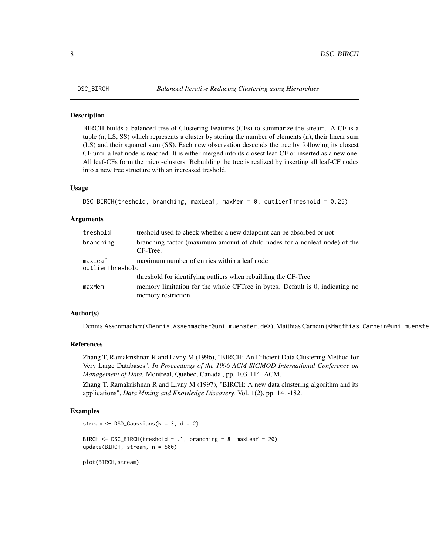<span id="page-7-0"></span>

BIRCH builds a balanced-tree of Clustering Features (CFs) to summarize the stream. A CF is a tuple (n, LS, SS) which represents a cluster by storing the number of elements (n), their linear sum (LS) and their squared sum (SS). Each new observation descends the tree by following its closest CF until a leaf node is reached. It is either merged into its closest leaf-CF or inserted as a new one. All leaf-CFs form the micro-clusters. Rebuilding the tree is realized by inserting all leaf-CF nodes into a new tree structure with an increased treshold.

#### Usage

```
DSC_BIRCH(treshold, branching, maxLeaf, maxMem = 0, outlierThreshold = 0.25)
```
#### Arguments

| treshold                    | treshold used to check whether a new datapoint can be absorbed or not                               |
|-----------------------------|-----------------------------------------------------------------------------------------------------|
| branching                   | branching factor (maximum amount of child nodes for a nonleaf node) of the<br>CF-Tree.              |
| maxLeaf<br>outlierThreshold | maximum number of entries within a leaf node                                                        |
|                             | threshold for identifying outliers when rebuilding the CF-Tree                                      |
| maxMem                      | memory limitation for the whole CFTree in bytes. Default is 0, indicating no<br>memory restriction. |

#### Author(s)

Dennis Assenmacher (<Dennis.Assenmacher@uni-muenster.de>), Matthias Carnein (<Matthias.Carnein@uni-muenster.de>)

#### References

Zhang T, Ramakrishnan R and Livny M (1996), "BIRCH: An Efficient Data Clustering Method for Very Large Databases", *In Proceedings of the 1996 ACM SIGMOD International Conference on Management of Data.* Montreal, Quebec, Canada , pp. 103-114. ACM.

Zhang T, Ramakrishnan R and Livny M (1997), "BIRCH: A new data clustering algorithm and its applications", *Data Mining and Knowledge Discovery.* Vol. 1(2), pp. 141-182.

#### Examples

```
stream \leq DSD_Gaussians(k = 3, d = 2)
BIRCH <- DSC_BIRCH(treshold = .1, branching = 8, maxLeaf = 20)
update(BIRCH, stream, n = 500)
plot(BIRCH,stream)
```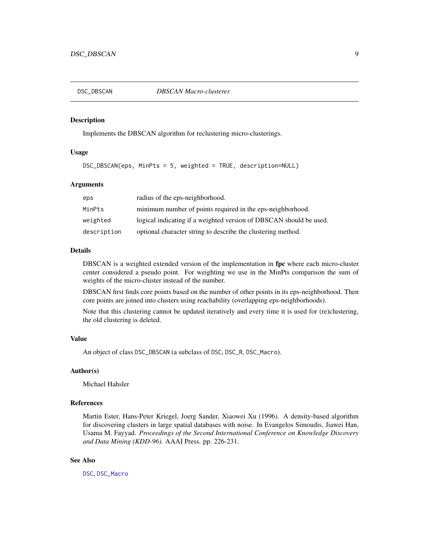<span id="page-8-0"></span>

Implements the DBSCAN algorithm for reclustering micro-clusterings.

## Usage

DSC\_DBSCAN(eps, MinPts = 5, weighted = TRUE, description=NULL)

### Arguments

| eps         | radius of the eps-neighborhood.                                    |
|-------------|--------------------------------------------------------------------|
| MinPts      | minimum number of points required in the eps-neighborhood.         |
| weighted    | logical indicating if a weighted version of DBSCAN should be used. |
| description | optional character string to describe the clustering method.       |

## Details

DBSCAN is a weighted extended version of the implementation in fpc where each micro-cluster center considered a pseudo point. For weighting we use in the MinPts comparison the sum of weights of the micro-cluster instead of the number.

DBSCAN first finds core points based on the number of other points in its eps-neighborhood. Then core points are joined into clusters using reachability (overlapping eps-neighborhoods).

Note that this clustering cannot be updated iteratively and every time it is used for (re)clustering, the old clustering is deleted.

## Value

An object of class DSC\_DBSCAN (a subclass of DSC, DSC\_R, DSC\_Macro).

#### Author(s)

Michael Hahsler

## References

Martin Ester, Hans-Peter Kriegel, Joerg Sander, Xiaowei Xu (1996). A density-based algorithm for discovering clusters in large spatial databases with noise. In Evangelos Simoudis, Jiawei Han, Usama M. Fayyad. *Proceedings of the Second International Conference on Knowledge Discovery and Data Mining (KDD-96).* AAAI Press. pp. 226-231.

## See Also

[DSC](#page-5-1), [DSC\\_Macro](#page-20-1)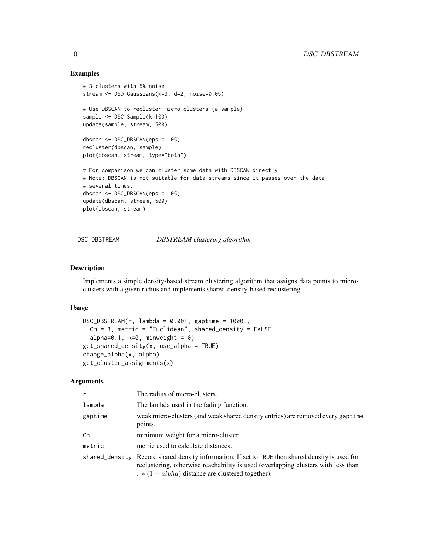## Examples

```
# 3 clusters with 5% noise
stream <- DSD_Gaussians(k=3, d=2, noise=0.05)
# Use DBSCAN to recluster micro clusters (a sample)
sample <- DSC_Sample(k=100)
update(sample, stream, 500)
dbscan <- DSC_DBSCAN(eps = .05)
recluster(dbscan, sample)
plot(dbscan, stream, type="both")
# For comparison we can cluster some data with DBSCAN directly
# Note: DBSCAN is not suitable for data streams since it passes over the data
# several times.
dbscan <- DSC_DBSCAN(eps = .05)
update(dbscan, stream, 500)
plot(dbscan, stream)
```

```
DSC_DBSTREAM DBSTREAM clustering algorithm
```
#### Description

Implements a simple density-based stream clustering algorithm that assigns data points to microclusters with a given radius and implements shared-density-based reclustering.

#### Usage

```
DSC_DBSTREAM(r, lambda = 0.001, gaptime = 1000L,Cm = 3, metric = "Euclidean", shared_density = FALSE,
  alpha=0.1, k=0, minweight = 0)
get_shared_density(x, use_alpha = TRUE)
change_alpha(x, alpha)
get_cluster_assignments(x)
```
## Arguments

| r       | The radius of micro-clusters.                                                                                                                                                                                                                |
|---------|----------------------------------------------------------------------------------------------------------------------------------------------------------------------------------------------------------------------------------------------|
| lambda  | The lambda used in the fading function.                                                                                                                                                                                                      |
| gaptime | weak micro-clusters (and weak shared density entries) are removed every gaptime<br>points.                                                                                                                                                   |
| Cm      | minimum weight for a micro-cluster.                                                                                                                                                                                                          |
| metric  | metric used to calculate distances.                                                                                                                                                                                                          |
|         | shared_density Record shared density information. If set to TRUE then shared density is used for<br>reclustering, otherwise reachability is used (overlapping clusters with less than<br>$r * (1 - alpha)$ distance are clustered together). |

<span id="page-9-0"></span>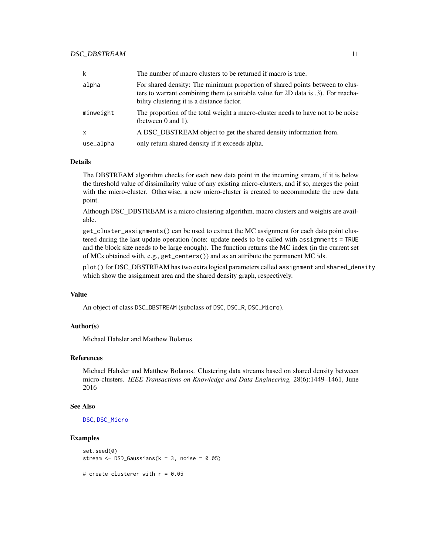| k            | The number of macro clusters to be returned if macro is true.                                                                                                                                                  |
|--------------|----------------------------------------------------------------------------------------------------------------------------------------------------------------------------------------------------------------|
| alpha        | For shared density: The minimum proportion of shared points between to clus-<br>ters to warrant combining them (a suitable value for 2D data is .3). For reacha-<br>bility clustering it is a distance factor. |
| minweight    | The proportion of the total weight a macro-cluster needs to have not to be noise<br>(between $0$ and $1$ ).                                                                                                    |
| $\mathsf{x}$ | A DSC_DBSTREAM object to get the shared density information from.                                                                                                                                              |
| use_alpha    | only return shared density if it exceeds alpha.                                                                                                                                                                |

#### Details

The DBSTREAM algorithm checks for each new data point in the incoming stream, if it is below the threshold value of dissimilarity value of any existing micro-clusters, and if so, merges the point with the micro-cluster. Otherwise, a new micro-cluster is created to accommodate the new data point.

Although DSC\_DBSTREAM is a micro clustering algorithm, macro clusters and weights are available.

get\_cluster\_assignments() can be used to extract the MC assignment for each data point clustered during the last update operation (note: update needs to be called with assignments = TRUE and the block size needs to be large enough). The function returns the MC index (in the current set of MCs obtained with, e.g., get\_centers()) and as an attribute the permanent MC ids.

plot() for DSC\_DBSTREAM has two extra logical parameters called assignment and shared\_density which show the assignment area and the shared density graph, respectively.

#### Value

An object of class DSC\_DBSTREAM (subclass of DSC, DSC\_R, DSC\_Micro).

#### Author(s)

Michael Hahsler and Matthew Bolanos

## References

Michael Hahsler and Matthew Bolanos. Clustering data streams based on shared density between micro-clusters. *IEEE Transactions on Knowledge and Data Engineering,* 28(6):1449–1461, June 2016

#### See Also

[DSC](#page-5-1), [DSC\\_Micro](#page-21-2)

#### Examples

```
set.seed(0)
stream <- DSD_Gaussians(k = 3, noise = 0.05)
```
# create clusterer with r = 0.05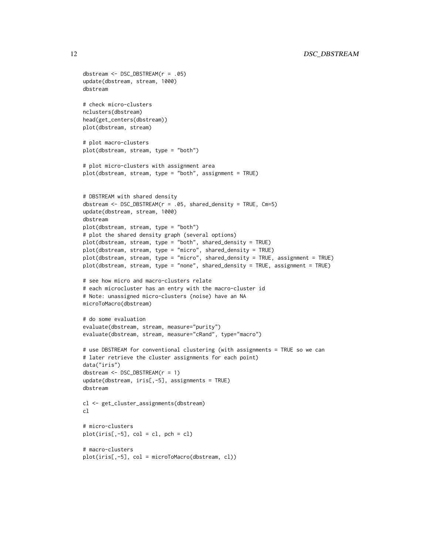```
dbstream <- DSC_DBSTREAM(r = .05)
update(dbstream, stream, 1000)
dbstream
# check micro-clusters
nclusters(dbstream)
head(get_centers(dbstream))
plot(dbstream, stream)
# plot macro-clusters
plot(dbstream, stream, type = "both")
# plot micro-clusters with assignment area
plot(dbstream, stream, type = "both", assignment = TRUE)
# DBSTREAM with shared density
dbstream <- DSC_DBSTREAM(r = .05, shared_density = TRUE, Cm=5)
update(dbstream, stream, 1000)
dbstream
plot(dbstream, stream, type = "both")
# plot the shared density graph (several options)
plot(dbstream, stream, type = "both", shared_density = TRUE)
plot(dbstream, stream, type = "micro", shared_density = TRUE)
plot(dbstream, stream, type = "micro", shared_density = TRUE, assignment = TRUE)
plot(dbstream, stream, type = "none", shared_density = TRUE, assignment = TRUE)
# see how micro and macro-clusters relate
# each microcluster has an entry with the macro-cluster id
# Note: unassigned micro-clusters (noise) have an NA
microToMacro(dbstream)
# do some evaluation
evaluate(dbstream, stream, measure="purity")
evaluate(dbstream, stream, measure="cRand", type="macro")
# use DBSTREAM for conventional clustering (with assignments = TRUE so we can
# later retrieve the cluster assignments for each point)
data("iris")
dbstream <- DSC_DBSTREAM(r = 1)
update(dbstream, iris[,-5], assignments = TRUE)
dbstream
cl <- get_cluster_assignments(dbstream)
c<sub>1</sub># micro-clusters
plot(iris[, -5], col = cl, pch = cl)# macro-clusters
plot(iris[,-5], col = microToMacro(dbstream, cl))
```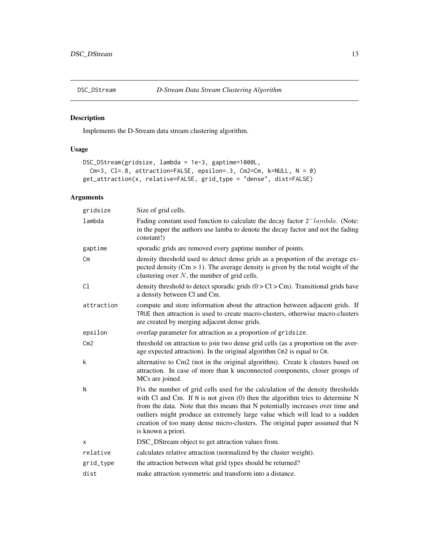<span id="page-12-0"></span>

Implements the D-Stream data stream clustering algorithm.

## Usage

```
DSC_DStream(gridsize, lambda = 1e-3, gaptime=1000L,
 Cm=3, Cl=.8, attraction=FALSE, epsilon=.3, Cm2=Cm, k=NULL, N = 0)
get_attraction(x, relative=FALSE, grid_type = "dense", dist=FALSE)
```
## Arguments

| gridsize       | Size of grid cells.                                                                                                                                                                                                                                                                                                                                                                                                                           |
|----------------|-----------------------------------------------------------------------------------------------------------------------------------------------------------------------------------------------------------------------------------------------------------------------------------------------------------------------------------------------------------------------------------------------------------------------------------------------|
| lambda         | Fading constant used function to calculate the decay factor $2^-$ lambda. (Note:<br>in the paper the authors use lamba to denote the decay factor and not the fading<br>constant!)                                                                                                                                                                                                                                                            |
| gaptime        | sporadic grids are removed every gaptime number of points.                                                                                                                                                                                                                                                                                                                                                                                    |
| Cm             | density threshold used to detect dense grids as a proportion of the average ex-<br>pected density ( $Cm > 1$ ). The average density is given by the total weight of the<br>clustering over $N$ , the number of grid cells.                                                                                                                                                                                                                    |
| C <sub>1</sub> | density threshold to detect sporadic grids $(0 > Cl > Cm)$ . Transitional grids have<br>a density between Cl and Cm.                                                                                                                                                                                                                                                                                                                          |
| attraction     | compute and store information about the attraction between adjacent grids. If<br>TRUE then attraction is used to create macro-clusters, otherwise macro-clusters<br>are created by merging adjacent dense grids.                                                                                                                                                                                                                              |
| epsilon        | overlap parameter for attraction as a proportion of gridsize.                                                                                                                                                                                                                                                                                                                                                                                 |
| Cm2            | threshold on attraction to join two dense grid cells (as a proportion on the aver-<br>age expected attraction). In the original algorithm Cm2 is equal to Cm.                                                                                                                                                                                                                                                                                 |
| k              | alternative to Cm2 (not in the original algorithm). Create k clusters based on<br>attraction. In case of more than k unconnected components, closer groups of<br>MCs are joined.                                                                                                                                                                                                                                                              |
| N              | Fix the number of grid cells used for the calculation of the density thresholds<br>with Cl and Cm. If $N$ is not given $(0)$ then the algorithm tries to determine $N$<br>from the data. Note that this means that N potentially increases over time and<br>outliers might produce an extremely large value which will lead to a sudden<br>creation of too many dense micro-clusters. The original paper assumed that N<br>is known a priori. |
| X              | DSC_DStream object to get attraction values from.                                                                                                                                                                                                                                                                                                                                                                                             |
| relative       | calculates relative attraction (normalized by the cluster weight).                                                                                                                                                                                                                                                                                                                                                                            |
| grid_type      | the attraction between what grid types should be returned?                                                                                                                                                                                                                                                                                                                                                                                    |
| dist           | make attraction symmetric and transform into a distance.                                                                                                                                                                                                                                                                                                                                                                                      |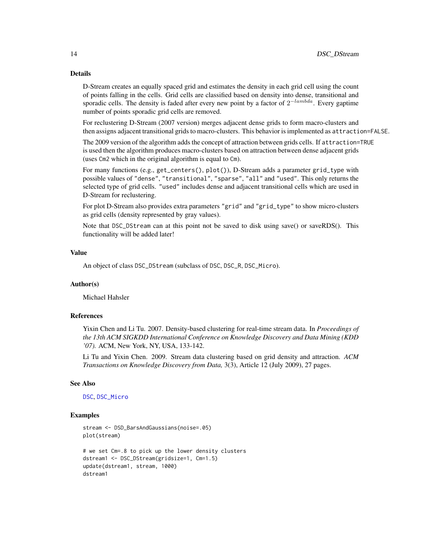## Details

D-Stream creates an equally spaced grid and estimates the density in each grid cell using the count of points falling in the cells. Grid cells are classified based on density into dense, transitional and sporadic cells. The density is faded after every new point by a factor of  $2^{-lambda}$ . Every gaptime number of points sporadic grid cells are removed.

For reclustering D-Stream (2007 version) merges adjacent dense grids to form macro-clusters and then assigns adjacent transitional grids to macro-clusters. This behavior is implemented as attraction=FALSE.

The 2009 version of the algorithm adds the concept of attraction between grids cells. If attraction=TRUE is used then the algorithm produces macro-clusters based on attraction between dense adjacent grids (uses Cm2 which in the original algorithm is equal to Cm).

For many functions (e.g., get\_centers(), plot()), D-Stream adds a parameter grid\_type with possible values of "dense", "transitional", "sparse", "all" and "used". This only returns the selected type of grid cells. "used" includes dense and adjacent transitional cells which are used in D-Stream for reclustering.

For plot D-Stream also provides extra parameters "grid" and "grid\_type" to show micro-clusters as grid cells (density represented by gray values).

Note that DSC\_DStream can at this point not be saved to disk using save() or saveRDS(). This functionality will be added later!

#### Value

An object of class DSC\_DStream (subclass of DSC, DSC\_R, DSC\_Micro).

#### Author(s)

Michael Hahsler

#### References

Yixin Chen and Li Tu. 2007. Density-based clustering for real-time stream data. In *Proceedings of the 13th ACM SIGKDD International Conference on Knowledge Discovery and Data Mining (KDD '07).* ACM, New York, NY, USA, 133-142.

Li Tu and Yixin Chen. 2009. Stream data clustering based on grid density and attraction. *ACM Transactions on Knowledge Discovery from Data,* 3(3), Article 12 (July 2009), 27 pages.

#### See Also

[DSC](#page-5-1), [DSC\\_Micro](#page-21-2)

## Examples

```
stream <- DSD_BarsAndGaussians(noise=.05)
plot(stream)
```

```
# we set Cm=.8 to pick up the lower density clusters
dstream1 <- DSC_DStream(gridsize=1, Cm=1.5)
update(dstream1, stream, 1000)
dstream1
```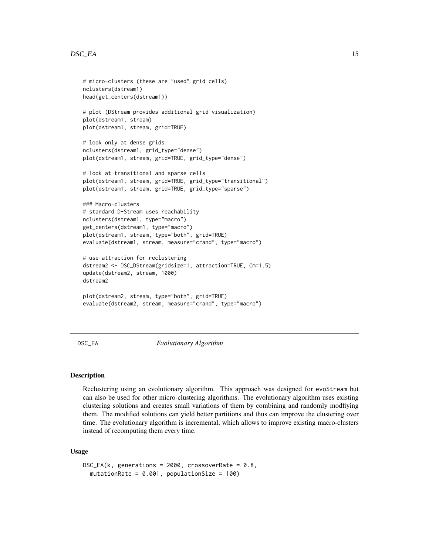#### <span id="page-14-0"></span> $DSC\_EA$  15

```
# micro-clusters (these are "used" grid cells)
nclusters(dstream1)
head(get_centers(dstream1))
# plot (DStream provides additional grid visualization)
plot(dstream1, stream)
plot(dstream1, stream, grid=TRUE)
# look only at dense grids
nclusters(dstream1, grid_type="dense")
plot(dstream1, stream, grid=TRUE, grid_type="dense")
# look at transitional and sparse cells
plot(dstream1, stream, grid=TRUE, grid_type="transitional")
plot(dstream1, stream, grid=TRUE, grid_type="sparse")
### Macro-clusters
# standard D-Stream uses reachability
nclusters(dstream1, type="macro")
get_centers(dstream1, type="macro")
plot(dstream1, stream, type="both", grid=TRUE)
evaluate(dstream1, stream, measure="crand", type="macro")
# use attraction for reclustering
dstream2 <- DSC_DStream(gridsize=1, attraction=TRUE, Cm=1.5)
update(dstream2, stream, 1000)
dstream2
plot(dstream2, stream, type="both", grid=TRUE)
evaluate(dstream2, stream, measure="crand", type="macro")
```
DSC\_EA *Evolutionary Algorithm*

#### Description

Reclustering using an evolutionary algorithm. This approach was designed for evoStream but can also be used for other micro-clustering algorithms. The evolutionary algorithm uses existing clustering solutions and creates small variations of them by combining and randomly modfiying them. The modified solutions can yield better partitions and thus can improve the clustering over time. The evolutionary algorithm is incremental, which allows to improve existing macro-clusters instead of recomputing them every time.

#### Usage

```
DSC_EA(k, generations = 2000, crossoverRate = 0.8,
 mutationRate = 0.001, populationSize = 100)
```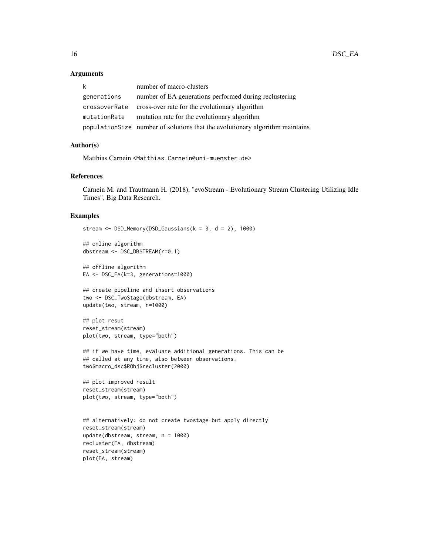#### **Arguments**

| k             | number of macro-clusters                                                      |
|---------------|-------------------------------------------------------------------------------|
| generations   | number of EA generations performed during reclustering                        |
| crossoverRate | cross-over rate for the evolutionary algorithm                                |
| mutationRate  | mutation rate for the evolutionary algorithm                                  |
|               | population Size number of solutions that the evolutionary algorithm maintains |

#### Author(s)

Matthias Carnein <Matthias.Carnein@uni-muenster.de>

## References

Carnein M. and Trautmann H. (2018), "evoStream - Evolutionary Stream Clustering Utilizing Idle Times", Big Data Research.

#### Examples

```
stream <- DSD_Memory(DSD_Gaussians(k = 3, d = 2), 1000)
## online algorithm
dbstream <- DSC_DBSTREAM(r=0.1)
## offline algorithm
EA <- DSC_EA(k=3, generations=1000)
## create pipeline and insert observations
two <- DSC_TwoStage(dbstream, EA)
update(two, stream, n=1000)
## plot resut
reset_stream(stream)
plot(two, stream, type="both")
## if we have time, evaluate additional generations. This can be
## called at any time, also between observations.
two$macro_dsc$RObj$recluster(2000)
## plot improved result
reset_stream(stream)
plot(two, stream, type="both")
## alternatively: do not create twostage but apply directly
reset_stream(stream)
update(dbstream, stream, n = 1000)
recluster(EA, dbstream)
reset_stream(stream)
plot(EA, stream)
```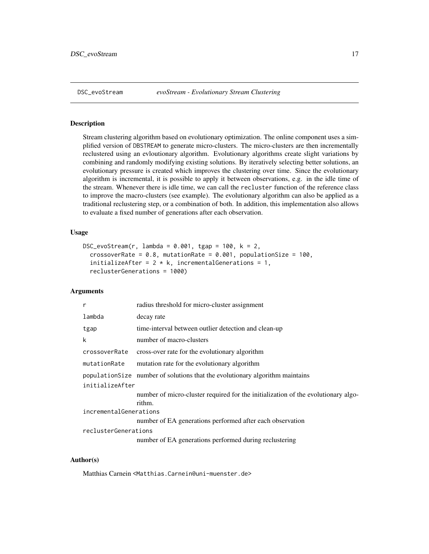<span id="page-16-0"></span>Stream clustering algorithm based on evolutionary optimization. The online component uses a simplified version of DBSTREAM to generate micro-clusters. The micro-clusters are then incrementally reclustered using an evloutionary algorithm. Evolutionary algorithms create slight variations by combining and randomly modifying existing solutions. By iteratively selecting better solutions, an evolutionary pressure is created which improves the clustering over time. Since the evolutionary algorithm is incremental, it is possible to apply it between observations, e.g. in the idle time of the stream. Whenever there is idle time, we can call the recluster function of the reference class to improve the macro-clusters (see example). The evolutionary algorithm can also be applied as a traditional reclustering step, or a combination of both. In addition, this implementation also allows to evaluate a fixed number of generations after each observation.

## Usage

```
DSC_evoStream(r, lambda = 0.001, tgap = 100, k = 2,
  crossoverRate = 0.8, mutationRate = 0.001, populationSize = 100,
  initializeAfter = 2 * k, incrementalGenerations = 1,
  reclusterGenerations = 1000)
```
#### Arguments

| r                      | radius threshold for micro-cluster assignment                                               |  |
|------------------------|---------------------------------------------------------------------------------------------|--|
| lambda                 | decay rate                                                                                  |  |
| tgap                   | time-interval between outlier detection and clean-up                                        |  |
| k                      | number of macro-clusters                                                                    |  |
| crossoverRate          | cross-over rate for the evolutionary algorithm                                              |  |
| mutationRate           | mutation rate for the evolutionary algorithm                                                |  |
|                        | population Size number of solutions that the evolutionary algorithm maintains               |  |
| initializeAfter        |                                                                                             |  |
|                        | number of micro-cluster required for the initialization of the evolutionary algo-<br>rithm. |  |
| incrementalGenerations |                                                                                             |  |
|                        | number of EA generations performed after each observation                                   |  |
| reclusterGenerations   |                                                                                             |  |
|                        | number of EA generations performed during reclustering                                      |  |

#### Author(s)

Matthias Carnein <Matthias.Carnein@uni-muenster.de>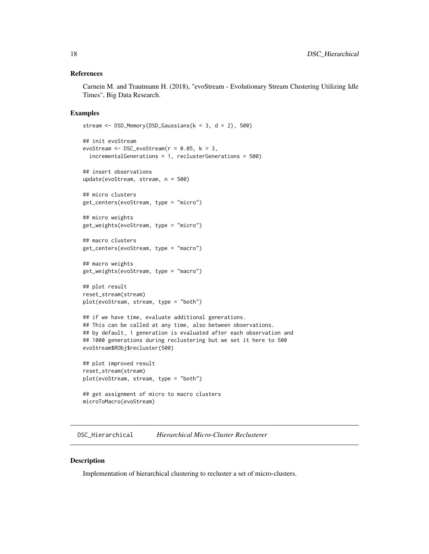#### <span id="page-17-0"></span>References

Carnein M. and Trautmann H. (2018), "evoStream - Evolutionary Stream Clustering Utilizing Idle Times", Big Data Research.

#### Examples

```
stream \leq DSD_Memory(DSD_Gaussians(k = 3, d = 2), 500)
## init evoStream
evoStream \leq DSC_evoStream(r = 0.05, k = 3,
  incrementalGenerations = 1, reclusterGenerations = 500)
## insert observations
update(evoStream, stream, n = 500)
## micro clusters
get_centers(evoStream, type = "micro")
## micro weights
get_weights(evoStream, type = "micro")
## macro clusters
get_centers(evoStream, type = "macro")
## macro weights
get_weights(evoStream, type = "macro")
## plot result
reset_stream(stream)
plot(evoStream, stream, type = "both")
## if we have time, evaluate additional generations.
## This can be called at any time, also between observations.
## by default, 1 generation is evaluated after each observation and
## 1000 generations during reclustering but we set it here to 500
evoStream$RObj$recluster(500)
## plot improved result
reset_stream(stream)
plot(evoStream, stream, type = "both")
## get assignment of micro to macro clusters
microToMacro(evoStream)
```
DSC\_Hierarchical *Hierarchical Micro-Cluster Reclusterer*

#### Description

Implementation of hierarchical clustering to recluster a set of micro-clusters.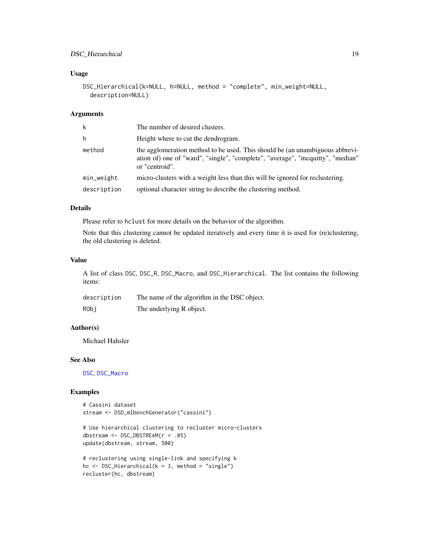## DSC\_Hierarchical 19

## Usage

```
DSC_Hierarchical(k=NULL, h=NULL, method = "complete", min_weight=NULL,
  description=NULL)
```
#### Arguments

| k           | The number of desired clusters.                                                                                                                                                  |
|-------------|----------------------------------------------------------------------------------------------------------------------------------------------------------------------------------|
| h           | Height where to cut the dendrogram.                                                                                                                                              |
| method      | the agglomeration method to be used. This should be (an unambiguous abbrevi-<br>ation of) one of "ward", "single", "complete", "average", "moquitty", "median"<br>or "centroid". |
| min_weight  | micro-clusters with a weight less than this will be ignored for reclustering.                                                                                                    |
| description | optional character string to describe the clustering method.                                                                                                                     |

## Details

Please refer to hclust for more details on the behavior of the algorithm.

Note that this clustering cannot be updated iteratively and every time it is used for (re)clustering, the old clustering is deleted.

#### Value

A list of class DSC, DSC\_R, DSC\_Macro, and DSC\_Hierarchical. The list contains the following items:

| description | The name of the algorithm in the DSC object. |
|-------------|----------------------------------------------|
| RObi        | The underlying R object.                     |

## Author(s)

Michael Hahsler

## See Also

[DSC](#page-5-1), [DSC\\_Macro](#page-20-1)

## Examples

```
# Cassini dataset
stream <- DSD_mlbenchGenerator("cassini")
```

```
# Use hierarchical clustering to recluster micro-clusters
dbstream <- DSC_DBSTREAM(r = .05)
update(dbstream, stream, 500)
```

```
# reclustering using single-link and specifying k
hc \leq DSC_Hierarchical(k = 3, method = "single")
recluster(hc, dbstream)
```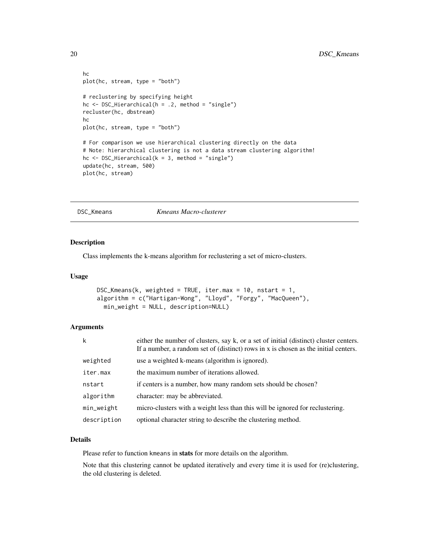```
hc
plot(hc, stream, type = "both")
# reclustering by specifying height
hc <- DSC_Hierarchical(h = .2, method = "single")
recluster(hc, dbstream)
hc
plot(hc, stream, type = "both")
# For comparison we use hierarchical clustering directly on the data
# Note: hierarchical clustering is not a data stream clustering algorithm!
hc <- DSC_Hierarchical(k = 3, method = "single")
update(hc, stream, 500)
plot(hc, stream)
```
DSC\_Kmeans *Kmeans Macro-clusterer*

## Description

Class implements the k-means algorithm for reclustering a set of micro-clusters.

## Usage

```
DSC_Kmeans(k, weighted = TRUE, iter.max = 10, nstart = 1,
algorithm = c("Hartigan-Wong", "Lloyd", "Forgy", "MacQueen"),
 min_weight = NULL, description=NULL)
```
### Arguments

| k           | either the number of clusters, say k, or a set of initial (distinct) cluster centers.<br>If a number, a random set of (distinct) rows in x is chosen as the initial centers. |
|-------------|------------------------------------------------------------------------------------------------------------------------------------------------------------------------------|
| weighted    | use a weighted k-means (algorithm is ignored).                                                                                                                               |
| iter.max    | the maximum number of iterations allowed.                                                                                                                                    |
| nstart      | if centers is a number, how many random sets should be chosen?                                                                                                               |
| algorithm   | character: may be abbreviated.                                                                                                                                               |
| min_weight  | micro-clusters with a weight less than this will be ignored for reclustering.                                                                                                |
| description | optional character string to describe the clustering method.                                                                                                                 |

### Details

Please refer to function kmeans in stats for more details on the algorithm.

Note that this clustering cannot be updated iteratively and every time it is used for (re)clustering, the old clustering is deleted.

<span id="page-19-0"></span>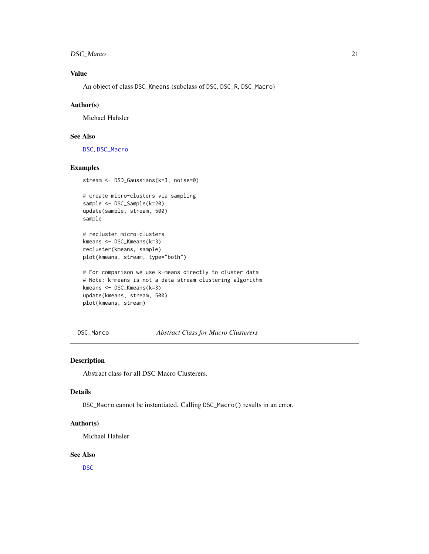## <span id="page-20-0"></span>DSC\_Marco 21

## Value

An object of class DSC\_Kmeans (subclass of DSC, DSC\_R, DSC\_Macro)

#### Author(s)

Michael Hahsler

## See Also

[DSC](#page-5-1), [DSC\\_Macro](#page-20-1)

#### Examples

```
stream <- DSD_Gaussians(k=3, noise=0)
```
# create micro-clusters via sampling sample <- DSC\_Sample(k=20) update(sample, stream, 500) sample

# recluster micro-clusters kmeans <- DSC\_Kmeans(k=3) recluster(kmeans, sample) plot(kmeans, stream, type="both")

```
# For comparison we use k-means directly to cluster data
# Note: k-means is not a data stream clustering algorithm
kmeans <- DSC_Kmeans(k=3)
update(kmeans, stream, 500)
plot(kmeans, stream)
```
DSC\_Marco *Abstract Class for Macro Clusterers*

#### <span id="page-20-1"></span>Description

Abstract class for all DSC Macro Clusterers.

#### Details

DSC\_Macro cannot be instantiated. Calling DSC\_Macro() results in an error.

## Author(s)

Michael Hahsler

#### See Also

[DSC](#page-5-1)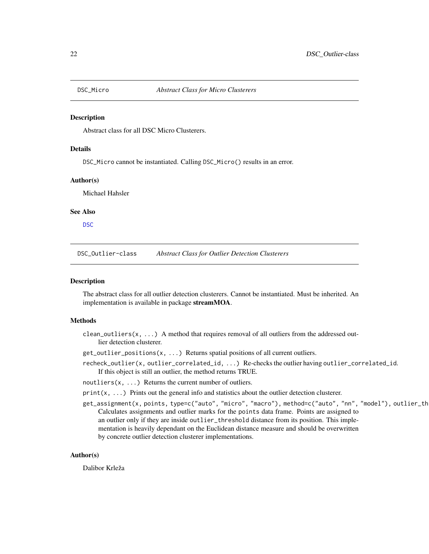<span id="page-21-2"></span><span id="page-21-0"></span>

Abstract class for all DSC Micro Clusterers.

## Details

DSC\_Micro cannot be instantiated. Calling DSC\_Micro() results in an error.

#### Author(s)

Michael Hahsler

#### See Also

[DSC](#page-5-1)

DSC\_Outlier-class *Abstract Class for Outlier Detection Clusterers*

## <span id="page-21-1"></span>**Description**

The abstract class for all outlier detection clusterers. Cannot be instantiated. Must be inherited. An implementation is available in package streamMOA.

#### Methods

clean\_outliers( $x, \ldots$ ) A method that requires removal of all outliers from the addressed outlier detection clusterer.

get\_outlier\_positions(x, ...) Returns spatial positions of all current outliers.

recheck\_outlier(x, outlier\_correlated\_id, ...) Re-checks the outlier having outlier\_correlated\_id. If this object is still an outlier, the method returns TRUE.

 $n$ outliers(x, ...) Returns the current number of outliers.

- $print(x, \ldots)$  Prints out the general info and statistics about the outlier detection clusterer.
- get\_assignment(x, points, type=c("auto", "micro", "macro"), method=c("auto", "nn", "model"), outlier\_th Calculates assignments and outlier marks for the points data frame. Points are assigned to an outlier only if they are inside outlier\_threshold distance from its position. This implementation is heavily dependant on the Euclidean distance measure and should be overwritten by concrete outlier detection clusterer implementations.

#### Author(s)

Dalibor Krleža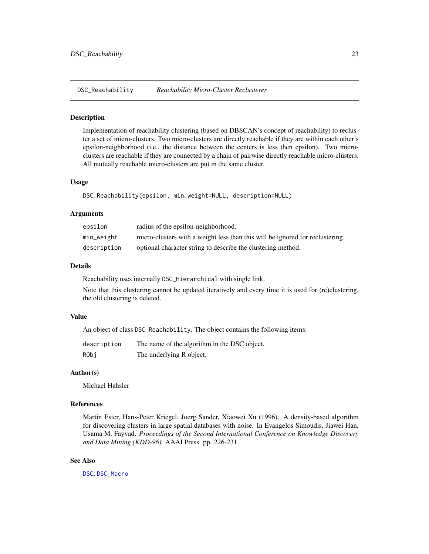<span id="page-22-0"></span>DSC\_Reachability *Reachability Micro-Cluster Reclusterer*

#### Description

Implementation of reachability clustering (based on DBSCAN's concept of reachability) to recluster a set of micro-clusters. Two micro-clusters are directly reachable if they are within each other's epsilon-neighborhood (i.e., the distance between the centers is less then epsilon). Two microclusters are reachable if they are connected by a chain of pairwise directly reachable micro-clusters. All mutually reachable micro-clusters are put in the same cluster.

#### Usage

DSC\_Reachability(epsilon, min\_weight=NULL, description=NULL)

## Arguments

| epsilon     | radius of the epsilon-neighborhood.                                           |
|-------------|-------------------------------------------------------------------------------|
| min_weight  | micro-clusters with a weight less than this will be ignored for reclustering. |
| description | optional character string to describe the clustering method.                  |

#### Details

Reachability uses internally DSC\_Hierarchical with single link.

Note that this clustering cannot be updated iteratively and every time it is used for (re)clustering, the old clustering is deleted.

## Value

An object of class DSC\_Reachability. The object contains the following items:

| description | The name of the algorithm in the DSC object. |
|-------------|----------------------------------------------|
| RObi        | The underlying R object.                     |

#### Author(s)

Michael Hahsler

#### References

Martin Ester, Hans-Peter Kriegel, Joerg Sander, Xiaowei Xu (1996). A density-based algorithm for discovering clusters in large spatial databases with noise. In Evangelos Simoudis, Jiawei Han, Usama M. Fayyad. *Proceedings of the Second International Conference on Knowledge Discovery and Data Mining (KDD-96).* AAAI Press. pp. 226-231.

## See Also

[DSC](#page-5-1), [DSC\\_Macro](#page-20-1)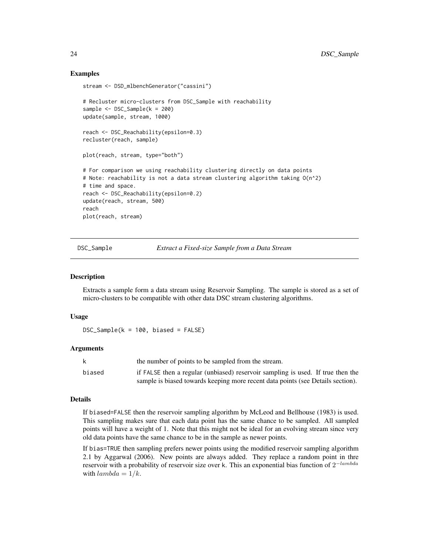## Examples

```
stream <- DSD_mlbenchGenerator("cassini")
# Recluster micro-clusters from DSC_Sample with reachability
sample <- DSC_Sample(k = 200)
update(sample, stream, 1000)
reach <- DSC_Reachability(epsilon=0.3)
recluster(reach, sample)
plot(reach, stream, type="both")
# For comparison we using reachability clustering directly on data points
# Note: reachability is not a data stream clustering algorithm taking O(n^2)
# time and space.
reach <- DSC_Reachability(epsilon=0.2)
update(reach, stream, 500)
reach
plot(reach, stream)
```
DSC\_Sample *Extract a Fixed-size Sample from a Data Stream*

#### **Description**

Extracts a sample form a data stream using Reservoir Sampling. The sample is stored as a set of micro-clusters to be compatible with other data DSC stream clustering algorithms.

#### Usage

 $DSC_Sample(k = 100, biased = FALSE)$ 

#### Arguments

| k      | the number of points to be sampled from the stream.                             |
|--------|---------------------------------------------------------------------------------|
| biased | if FALSE then a regular (unbiased) reservoir sampling is used. If true then the |
|        | sample is biased towards keeping more recent data points (see Details section). |

#### Details

If biased=FALSE then the reservoir sampling algorithm by McLeod and Bellhouse (1983) is used. This sampling makes sure that each data point has the same chance to be sampled. All sampled points will have a weight of 1. Note that this might not be ideal for an evolving stream since very old data points have the same chance to be in the sample as newer points.

If bias=TRUE then sampling prefers newer points using the modified reservoir sampling algorithm 2.1 by Aggarwal (2006). New points are always added. They replace a random point in thre reservoir with a probability of reservoir size over k. This an exponential bias function of  $2^{-lambda}$ with  $lambda = 1/k$ .

<span id="page-23-0"></span>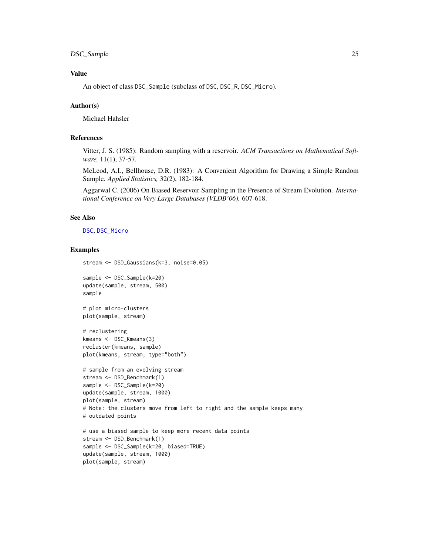## DSC\_Sample 25

## Value

An object of class DSC\_Sample (subclass of DSC, DSC\_R, DSC\_Micro).

#### Author(s)

Michael Hahsler

## References

Vitter, J. S. (1985): Random sampling with a reservoir. *ACM Transactions on Mathematical Software,* 11(1), 37-57.

McLeod, A.I., Bellhouse, D.R. (1983): A Convenient Algorithm for Drawing a Simple Random Sample. *Applied Statistics,* 32(2), 182-184.

Aggarwal C. (2006) On Biased Reservoir Sampling in the Presence of Stream Evolution. *International Conference on Very Large Databases (VLDB'06).* 607-618.

#### See Also

#### [DSC](#page-5-1), [DSC\\_Micro](#page-21-2)

## Examples

```
stream <- DSD_Gaussians(k=3, noise=0.05)
```
sample <- DSC\_Sample(k=20) update(sample, stream, 500) sample

```
# plot micro-clusters
plot(sample, stream)
```

```
# reclustering
kmeans <- DSC_Kmeans(3)
recluster(kmeans, sample)
plot(kmeans, stream, type="both")
```

```
# sample from an evolving stream
stream <- DSD_Benchmark(1)
sample <- DSC_Sample(k=20)
update(sample, stream, 1000)
plot(sample, stream)
# Note: the clusters move from left to right and the sample keeps many
# outdated points
```

```
# use a biased sample to keep more recent data points
stream <- DSD_Benchmark(1)
sample <- DSC_Sample(k=20, biased=TRUE)
update(sample, stream, 1000)
plot(sample, stream)
```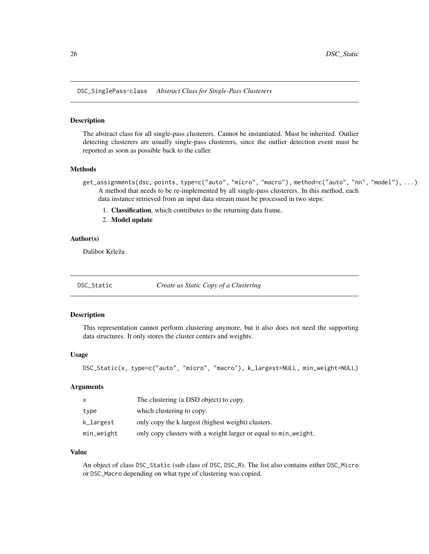<span id="page-25-0"></span>DSC\_SinglePass-class *Abstract Class for Single-Pass Clusterers*

#### Description

The abstract class for all single-pass clusterers. Cannot be instantiated. Must be inherited. Outlier detecting clusterers are usually single-pass clusterers, since the outlier detection event must be reported as soon as possible back to the caller.

## Methods

- get\_assignments(dsc, points, type=c("auto", "micro", "macro"), method=c("auto", "nn", "model"), ...) A method that needs to be re-implemented by all single-pass clusterers. In this method, each data instance retrieved from an input data stream must be processed in two steps:
	- 1. Classification, which contributes to the returning data frame,
	- 2. Model update

## Author(s)

Dalibor Krleža

DSC\_Static *Create as Static Copy of a Clustering*

#### Description

This representation cannot perform clustering anymore, but it also does not need the supporting data structures. It only stores the cluster centers and weights.

#### Usage

```
DSC_Static(x, type=c("auto", "micro", "macro"), k_largest=NULL, min_weight=NULL)
```
#### Arguments

| $\mathsf{x}$ | The clustering (a DSD object) to copy.                          |
|--------------|-----------------------------------------------------------------|
| type         | which clustering to copy.                                       |
| k_largest    | only copy the k largest (highest weight) clusters.              |
| min_weight   | only copy clusters with a weight larger or equal to min_weight. |

#### Value

An object of class DSC\_Static (sub class of DSC, DSC\_R). The list also contains either DSC\_Micro or DSC\_Macro depending on what type of clustering was copied.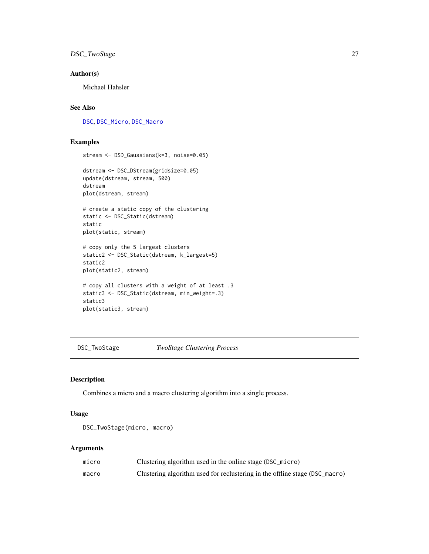## <span id="page-26-0"></span>DSC\_TwoStage 27

## Author(s)

Michael Hahsler

## See Also

[DSC](#page-5-1), [DSC\\_Micro](#page-21-2), [DSC\\_Macro](#page-20-1)

## Examples

stream <- DSD\_Gaussians(k=3, noise=0.05)

```
dstream <- DSC_DStream(gridsize=0.05)
update(dstream, stream, 500)
dstream
plot(dstream, stream)
# create a static copy of the clustering
static <- DSC_Static(dstream)
static
plot(static, stream)
# copy only the 5 largest clusters
static2 <- DSC_Static(dstream, k_largest=5)
static2
plot(static2, stream)
# copy all clusters with a weight of at least .3
static3 <- DSC_Static(dstream, min_weight=.3)
static3
plot(static3, stream)
```
DSC\_TwoStage *TwoStage Clustering Process*

#### Description

Combines a micro and a macro clustering algorithm into a single process.

### Usage

```
DSC_TwoStage(micro, macro)
```
#### Arguments

| micro | Clustering algorithm used in the online stage (DSC_micro)                   |
|-------|-----------------------------------------------------------------------------|
| macro | Clustering algorithm used for reclustering in the offline stage (DSC_macro) |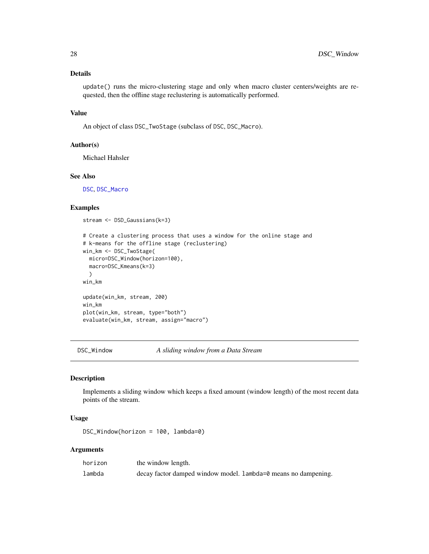## <span id="page-27-0"></span>Details

update() runs the micro-clustering stage and only when macro cluster centers/weights are requested, then the offline stage reclustering is automatically performed.

## Value

An object of class DSC\_TwoStage (subclass of DSC, DSC\_Macro).

#### Author(s)

Michael Hahsler

## See Also

[DSC](#page-5-1), [DSC\\_Macro](#page-20-1)

## Examples

stream <- DSD\_Gaussians(k=3)

```
# Create a clustering process that uses a window for the online stage and
# k-means for the offline stage (reclustering)
win_km <- DSC_TwoStage(
  micro=DSC_Window(horizon=100),
  macro=DSC_Kmeans(k=3)
  )
win_km
update(win_km, stream, 200)
win_km
plot(win_km, stream, type="both")
evaluate(win_km, stream, assign="macro")
```
DSC\_Window *A sliding window from a Data Stream*

#### Description

Implements a sliding window which keeps a fixed amount (window length) of the most recent data points of the stream.

## Usage

DSC\_Window(horizon = 100, lambda=0)

## Arguments

| horizon | the window length.                                             |
|---------|----------------------------------------------------------------|
| lambda  | decay factor damped window model. Lambda=0 means no dampening. |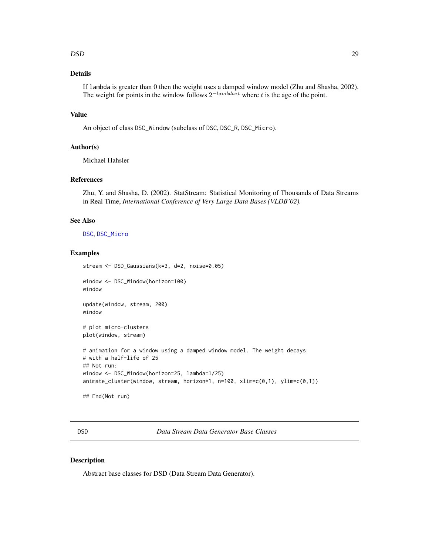#### <span id="page-28-0"></span> $\Box$ DSD  $^{29}$

## Details

If lambda is greater than 0 then the weight uses a damped window model (Zhu and Shasha, 2002). The weight for points in the window follows  $2^{-lambda*t}$  where t is the age of the point.

## Value

An object of class DSC\_Window (subclass of DSC, DSC\_R, DSC\_Micro).

## Author(s)

Michael Hahsler

#### References

Zhu, Y. and Shasha, D. (2002). StatStream: Statistical Monitoring of Thousands of Data Streams in Real Time, *International Conference of Very Large Data Bases (VLDB'02).*

#### See Also

[DSC](#page-5-1), [DSC\\_Micro](#page-21-2)

## Examples

stream <- DSD\_Gaussians(k=3, d=2, noise=0.05)

window <- DSC\_Window(horizon=100) window

update(window, stream, 200) window

# plot micro-clusters plot(window, stream)

```
# animation for a window using a damped window model. The weight decays
# with a half-life of 25
## Not run:
window <- DSC_Window(horizon=25, lambda=1/25)
animate_cluster(window, stream, horizon=1, n=100, xlim=c(0,1), ylim=c(0,1))
```

```
## End(Not run)
```
<span id="page-28-1"></span>DSD *Data Stream Data Generator Base Classes*

#### Description

Abstract base classes for DSD (Data Stream Data Generator).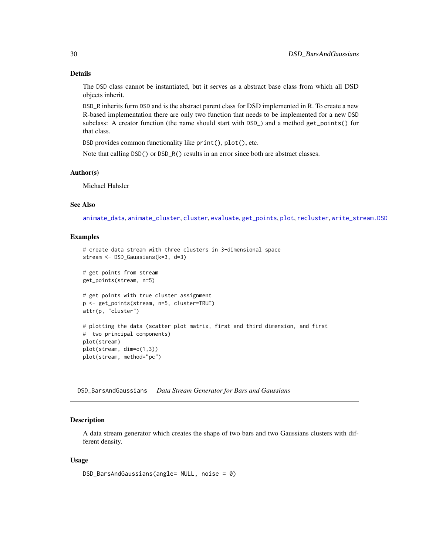## <span id="page-29-0"></span>Details

The DSD class cannot be instantiated, but it serves as a abstract base class from which all DSD objects inherit.

DSD\_R inherits form DSD and is the abstract parent class for DSD implemented in R. To create a new R-based implementation there are only two function that needs to be implemented for a new DSD subclass: A creator function (the name should start with DSD\_) and a method get\_points() for that class.

DSD provides common functionality like print(), plot(), etc.

Note that calling DSD() or DSD\_R() results in an error since both are abstract classes.

#### Author(s)

Michael Hahsler

## See Also

[animate\\_data](#page-2-1), [animate\\_cluster](#page-2-1), [cluster](#page-0-0), [evaluate](#page-53-2), [get\\_points](#page-61-1), [plot](#page-68-1), [recluster](#page-70-1), [write\\_stream.DSD](#page-74-1)

## Examples

```
# create data stream with three clusters in 3-dimensional space
stream <- DSD_Gaussians(k=3, d=3)
# get points from stream
get_points(stream, n=5)
# get points with true cluster assignment
p <- get_points(stream, n=5, cluster=TRUE)
attr(p, "cluster")
# plotting the data (scatter plot matrix, first and third dimension, and first
# two principal components)
plot(stream)
plot(stream, dim=c(1,3))
plot(stream, method="pc")
```
DSD\_BarsAndGaussians *Data Stream Generator for Bars and Gaussians*

#### **Description**

A data stream generator which creates the shape of two bars and two Gaussians clusters with different density.

#### Usage

```
DSD_BarsAndGaussians(angle= NULL, noise = 0)
```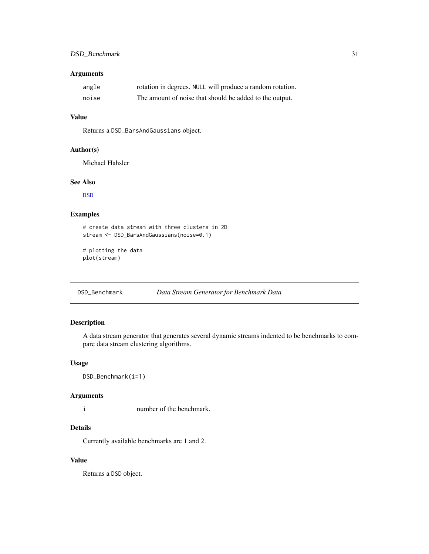## <span id="page-30-0"></span>Arguments

| angle | rotation in degrees. NULL will produce a random rotation. |
|-------|-----------------------------------------------------------|
| noise | The amount of noise that should be added to the output.   |

## Value

Returns a DSD\_BarsAndGaussians object.

#### Author(s)

Michael Hahsler

## See Also

[DSD](#page-28-1)

## Examples

```
# create data stream with three clusters in 2D
stream <- DSD_BarsAndGaussians(noise=0.1)
```

```
# plotting the data
plot(stream)
```
DSD\_Benchmark *Data Stream Generator for Benchmark Data*

## Description

A data stream generator that generates several dynamic streams indented to be benchmarks to compare data stream clustering algorithms.

#### Usage

DSD\_Benchmark(i=1)

#### Arguments

i number of the benchmark.

## Details

Currently available benchmarks are 1 and 2.

## Value

Returns a DSD object.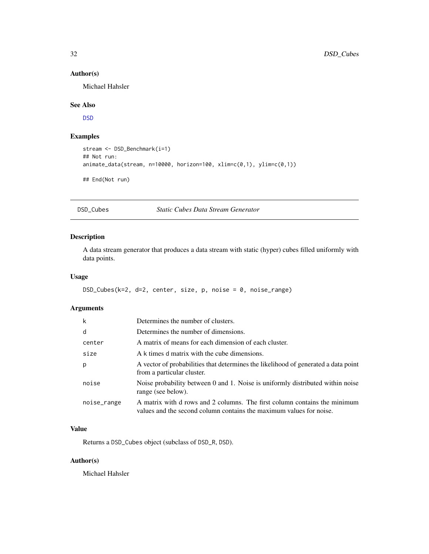## Author(s)

Michael Hahsler

## See Also

[DSD](#page-28-1)

## Examples

```
stream <- DSD_Benchmark(i=1)
## Not run:
animate_data(stream, n=10000, horizon=100, xlim=c(0,1), ylim=c(0,1))
## End(Not run)
```
DSD\_Cubes *Static Cubes Data Stream Generator*

## Description

A data stream generator that produces a data stream with static (hyper) cubes filled uniformly with data points.

## Usage

```
DSD_Cubes(k=2, d=2, center, size, p, noise = 0, noise_range)
```
## Arguments

| $\mathsf{k}$ | Determines the number of clusters.                                                                                                               |
|--------------|--------------------------------------------------------------------------------------------------------------------------------------------------|
| d            | Determines the number of dimensions.                                                                                                             |
| center       | A matrix of means for each dimension of each cluster.                                                                                            |
| size         | A k times d matrix with the cube dimensions.                                                                                                     |
| p            | A vector of probabilities that determines the likelihood of generated a data point<br>from a particular cluster.                                 |
| noise        | Noise probability between 0 and 1. Noise is uniformly distributed within noise<br>range (see below).                                             |
| noise_range  | A matrix with d rows and 2 columns. The first column contains the minimum<br>values and the second column contains the maximum values for noise. |

## Value

Returns a DSD\_Cubes object (subclass of DSD\_R, DSD).

## Author(s)

Michael Hahsler

<span id="page-31-0"></span>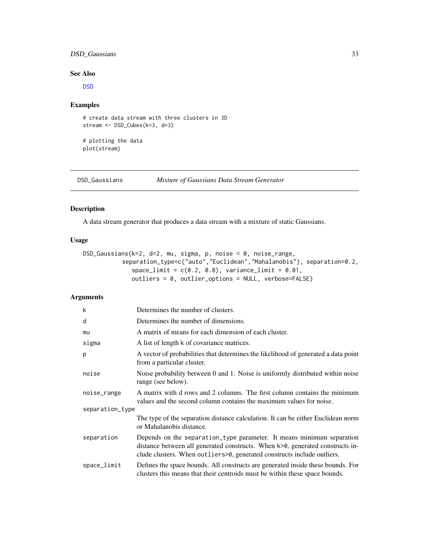## <span id="page-32-0"></span>DSD\_Gaussians 33

## See Also

[DSD](#page-28-1)

## Examples

```
# create data stream with three clusters in 3D
stream <- DSD_Cubes(k=3, d=3)
```
# plotting the data plot(stream)

DSD\_Gaussians *Mixture of Gaussians Data Stream Generator*

## Description

A data stream generator that produces a data stream with a mixture of static Gaussians.

#### Usage

```
DSD_Gaussians(k=2, d=2, mu, sigma, p, noise = 0, noise_range,
           separation_type=c("auto","Euclidean","Mahalanobis"), separation=0.2,
              space\_limit = c(0.2, 0.8), variance\_limit = 0.01,outliers = 0, outlier_options = NULL, verbose=FALSE)
```
## Arguments

| k               | Determines the number of clusters.                                                                                                                                                                                                  |  |  |
|-----------------|-------------------------------------------------------------------------------------------------------------------------------------------------------------------------------------------------------------------------------------|--|--|
| d               | Determines the number of dimensions.                                                                                                                                                                                                |  |  |
| mu              | A matrix of means for each dimension of each cluster.                                                                                                                                                                               |  |  |
| sigma           | A list of length k of covariance matrices.                                                                                                                                                                                          |  |  |
| p               | A vector of probabilities that determines the likelihood of generated a data point<br>from a particular cluster.                                                                                                                    |  |  |
| noise           | Noise probability between 0 and 1. Noise is uniformly distributed within noise<br>range (see below).                                                                                                                                |  |  |
| noise_range     | A matrix with d rows and 2 columns. The first column contains the minimum<br>values and the second column contains the maximum values for noise.                                                                                    |  |  |
| separation_type |                                                                                                                                                                                                                                     |  |  |
|                 | The type of the separation distance calculation. It can be either Euclidean norm<br>or Mahalanobis distance.                                                                                                                        |  |  |
| separation      | Depends on the separation_type parameter. It means minimum separation<br>distance between all generated constructs. When k>0, generated constructs in-<br>clude clusters. When outliers > 0, generated constructs include outliers. |  |  |
| space_limit     | Defines the space bounds. All constructs are generated inside these bounds. For<br>clusters this means that their centroids must be within these space bounds.                                                                      |  |  |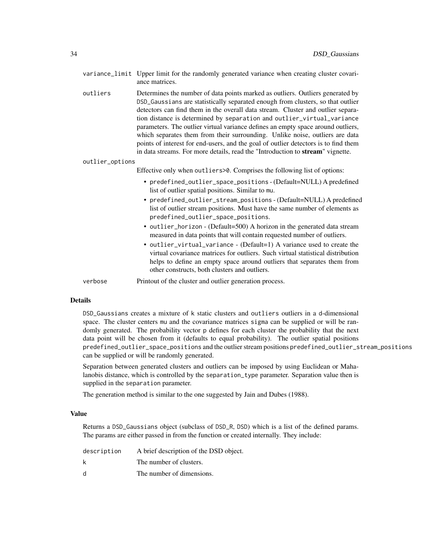|                 |          | variance_limit Upper limit for the randomly generated variance when creating cluster covari-<br>ance matrices.                                                                                                                                                                                                                                                                                                                                                                                                                                                                                                                                                              |
|-----------------|----------|-----------------------------------------------------------------------------------------------------------------------------------------------------------------------------------------------------------------------------------------------------------------------------------------------------------------------------------------------------------------------------------------------------------------------------------------------------------------------------------------------------------------------------------------------------------------------------------------------------------------------------------------------------------------------------|
|                 | outliers | Determines the number of data points marked as outliers. Outliers generated by<br>DSD_Gaussians are statistically separated enough from clusters, so that outlier<br>detectors can find them in the overall data stream. Cluster and outlier separa-<br>tion distance is determined by separation and outlier_virtual_variance<br>parameters. The outlier virtual variance defines an empty space around outliers,<br>which separates them from their surrounding. Unlike noise, outliers are data<br>points of interest for end-users, and the goal of outlier detectors is to find them<br>in data streams. For more details, read the "Introduction to stream" vignette. |
| outlier_options |          |                                                                                                                                                                                                                                                                                                                                                                                                                                                                                                                                                                                                                                                                             |
|                 |          | Effective only when outliers > 0. Comprises the following list of options:                                                                                                                                                                                                                                                                                                                                                                                                                                                                                                                                                                                                  |
|                 |          | • predefined_outlier_space_positions - (Default=NULL) A predefined<br>list of outlier spatial positions. Similar to mu.                                                                                                                                                                                                                                                                                                                                                                                                                                                                                                                                                     |
|                 |          | • predefined_outlier_stream_positions - (Default=NULL) A predefined<br>list of outlier stream positions. Must have the same number of elements as<br>predefined_outlier_space_positions.                                                                                                                                                                                                                                                                                                                                                                                                                                                                                    |
|                 |          | • outlier_horizon - (Default=500) A horizon in the generated data stream<br>measured in data points that will contain requested number of outliers.                                                                                                                                                                                                                                                                                                                                                                                                                                                                                                                         |
|                 |          | • outlier_virtual_variance - (Default=1) A variance used to create the<br>virtual covariance matrices for outliers. Such virtual statistical distribution<br>helps to define an empty space around outliers that separates them from<br>other constructs, both clusters and outliers.                                                                                                                                                                                                                                                                                                                                                                                       |
|                 |          | $\mathbf{D}$ , the state of $\mathbf{A}$ and $\mathbf{A}$ and $\mathbf{A}$ and $\mathbf{A}$ and $\mathbf{A}$ and $\mathbf{A}$ and $\mathbf{A}$ and $\mathbf{A}$                                                                                                                                                                                                                                                                                                                                                                                                                                                                                                             |

verbose Printout of the cluster and outlier generation process.

## Details

DSD\_Gaussians creates a mixture of k static clusters and outliers outliers in a d-dimensional space. The cluster centers mu and the covariance matrices sigma can be supplied or will be randomly generated. The probability vector p defines for each cluster the probability that the next data point will be chosen from it (defaults to equal probability). The outlier spatial positions predefined\_outlier\_space\_positions and the outlier stream positions predefined\_outlier\_stream\_positions can be supplied or will be randomly generated.

Separation between generated clusters and outliers can be imposed by using Euclidean or Mahalanobis distance, which is controlled by the separation\_type parameter. Separation value then is supplied in the separation parameter.

The generation method is similar to the one suggested by Jain and Dubes (1988).

#### Value

Returns a DSD\_Gaussians object (subclass of DSD\_R, DSD) which is a list of the defined params. The params are either passed in from the function or created internally. They include:

| description | A brief description of the DSD object. |
|-------------|----------------------------------------|
| k           | The number of clusters.                |
| d           | The number of dimensions.              |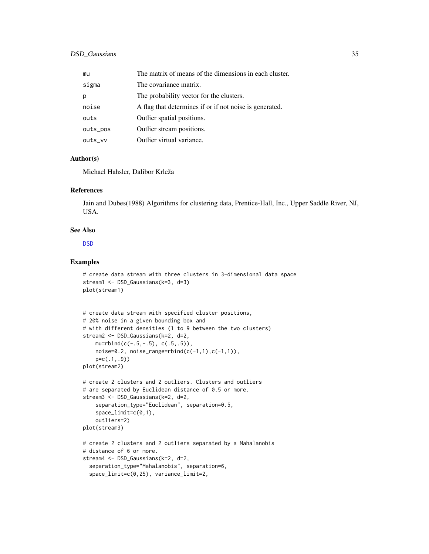| mu       | The matrix of means of the dimensions in each cluster.  |
|----------|---------------------------------------------------------|
| sigma    | The covariance matrix.                                  |
| p        | The probability vector for the clusters.                |
| noise    | A flag that determines if or if not noise is generated. |
| outs     | Outlier spatial positions.                              |
| outs_pos | Outlier stream positions.                               |
| outs_vv  | Outlier virtual variance.                               |

#### Author(s)

Michael Hahsler, Dalibor Krleža

#### References

Jain and Dubes(1988) Algorithms for clustering data, Prentice-Hall, Inc., Upper Saddle River, NJ, USA.

## See Also

[DSD](#page-28-1)

### Examples

```
# create data stream with three clusters in 3-dimensional data space
stream1 <- DSD_Gaussians(k=3, d=3)
plot(stream1)
```

```
# create data stream with specified cluster positions,
# 20% noise in a given bounding box and
# with different densities (1 to 9 between the two clusters)
stream2 <- DSD_Gaussians(k=2, d=2,
    mu=rbind(c(-.5,-.5), c(.5,.5)),noise=0.2, noise_range=rbind(c(-1,1),c(-1,1)),
    p=c(.1,.9))
plot(stream2)
# create 2 clusters and 2 outliers. Clusters and outliers
# are separated by Euclidean distance of 0.5 or more.
stream3 <- DSD_Gaussians(k=2, d=2,
    separation_type="Euclidean", separation=0.5,
    space_limit=c(0,1),
    outliers=2)
plot(stream3)
# create 2 clusters and 2 outliers separated by a Mahalanobis
# distance of 6 or more.
stream4 <- DSD_Gaussians(k=2, d=2,
  separation_type="Mahalanobis", separation=6,
  space_limit=c(0,25), variance_limit=2,
```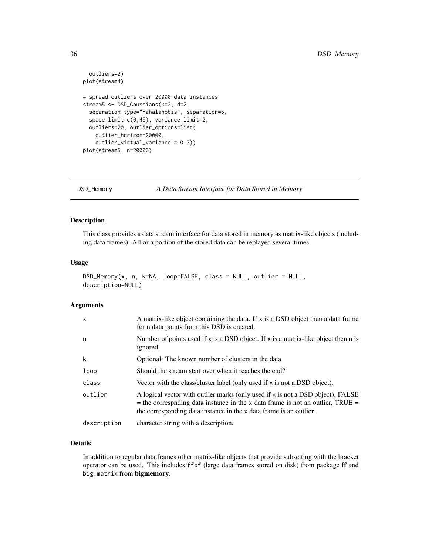```
outliers=2)
plot(stream4)
# spread outliers over 20000 data instances
stream5 <- DSD_Gaussians(k=2, d=2,
 separation_type="Mahalanobis", separation=6,
 space_limit=c(0,45), variance_limit=2,
 outliers=20, outlier_options=list(
   outlier_horizon=20000,
   outlier_virtual_variance = 0.3))
plot(stream5, n=20000)
```
DSD\_Memory *A Data Stream Interface for Data Stored in Memory*

## Description

This class provides a data stream interface for data stored in memory as matrix-like objects (including data frames). All or a portion of the stored data can be replayed several times.

#### Usage

```
DSD_Memory(x, n, k=NA, loop=FALSE, class = NULL, outlier = NULL,
description=NULL)
```
## Arguments

| $\mathsf{x}$ | A matrix-like object containing the data. If $x$ is a DSD object then a data frame<br>for n data points from this DSD is created.                                                                                                            |
|--------------|----------------------------------------------------------------------------------------------------------------------------------------------------------------------------------------------------------------------------------------------|
| n            | Number of points used if $x$ is a DSD object. If $x$ is a matrix-like object then n is<br>ignored.                                                                                                                                           |
| k            | Optional: The known number of clusters in the data                                                                                                                                                                                           |
| loop         | Should the stream start over when it reaches the end?                                                                                                                                                                                        |
| class        | Vector with the class/cluster label (only used if x is not a DSD object).                                                                                                                                                                    |
| outlier      | A logical vector with outlier marks (only used if x is not a DSD object). FALSE<br>$=$ the corresponding data instance in the x data frame is not an outlier, TRUE $=$<br>the corresponding data instance in the x data frame is an outlier. |
| description  | character string with a description.                                                                                                                                                                                                         |

## Details

In addition to regular data.frames other matrix-like objects that provide subsetting with the bracket operator can be used. This includes ffdf (large data.frames stored on disk) from package ff and big.matrix from bigmemory.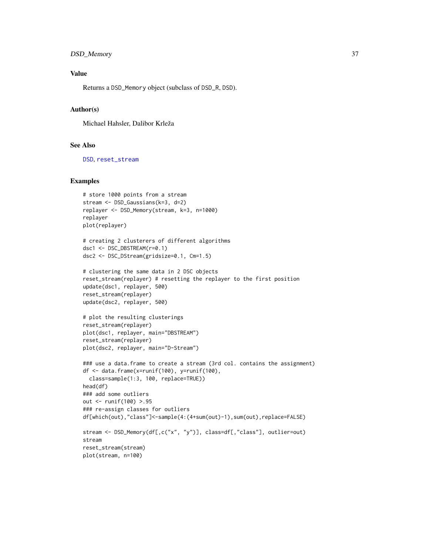## DSD\_Memory 37

## Value

Returns a DSD\_Memory object (subclass of DSD\_R, DSD).

#### Author(s)

Michael Hahsler, Dalibor Krleža

#### See Also

[DSD](#page-28-0), [reset\\_stream](#page-71-0)

```
# store 1000 points from a stream
stream <- DSD_Gaussians(k=3, d=2)
replayer <- DSD_Memory(stream, k=3, n=1000)
replayer
plot(replayer)
# creating 2 clusterers of different algorithms
dsc1 <- DSC_DBSTREAM(r=0.1)
dsc2 <- DSC_DStream(gridsize=0.1, Cm=1.5)
# clustering the same data in 2 DSC objects
reset_stream(replayer) # resetting the replayer to the first position
update(dsc1, replayer, 500)
reset_stream(replayer)
update(dsc2, replayer, 500)
# plot the resulting clusterings
reset_stream(replayer)
plot(dsc1, replayer, main="DBSTREAM")
reset_stream(replayer)
plot(dsc2, replayer, main="D-Stream")
### use a data.frame to create a stream (3rd col. contains the assignment)
df <- data.frame(x=runif(100), y=runif(100),
  class=sample(1:3, 100, replace=TRUE))
head(df)
### add some outliers
out <- runif(100) >.95
### re-assign classes for outliers
df[which(out),"class"]<-sample(4:(4+sum(out)-1),sum(out),replace=FALSE)
stream <- DSD_Memory(df[,c("x", "y")], class=df[,"class"], outlier=out)
stream
reset_stream(stream)
plot(stream, n=100)
```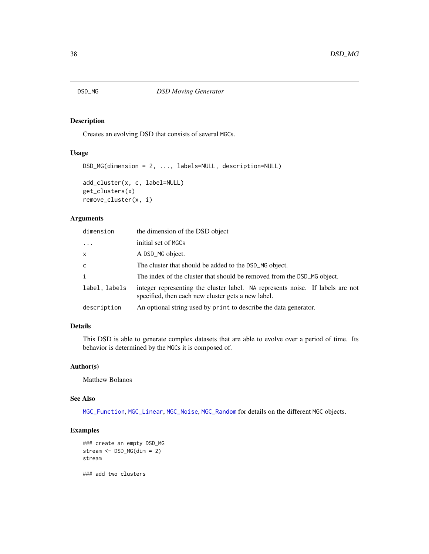<span id="page-37-0"></span>

Creates an evolving DSD that consists of several MGCs.

## Usage

```
DSD_MG(dimension = 2, ..., labels=NULL, description=NULL)
add_cluster(x, c, label=NULL)
get_clusters(x)
remove_cluster(x, i)
```
## Arguments

| dimension     | the dimension of the DSD object                                                                                                      |
|---------------|--------------------------------------------------------------------------------------------------------------------------------------|
| $\ddots$      | initial set of MGCs                                                                                                                  |
| x             | A DSD_MG object.                                                                                                                     |
| C.            | The cluster that should be added to the DSD_MG object.                                                                               |
| i             | The index of the cluster that should be removed from the DSD_MG object.                                                              |
| label, labels | integer representing the cluster label. NA represents noise. If labels are not<br>specified, then each new cluster gets a new label. |
| description   | An optional string used by print to describe the data generator.                                                                     |

# Details

This DSD is able to generate complex datasets that are able to evolve over a period of time. Its behavior is determined by the MGCs it is composed of.

## Author(s)

Matthew Bolanos

#### See Also

[MGC\\_Function](#page-63-0), [MGC\\_Linear](#page-63-0), [MGC\\_Noise](#page-63-0), [MGC\\_Random](#page-63-0) for details on the different MGC objects.

# Examples

```
### create an empty DSD_MG
stream <- DSD_MG(dim = 2)
stream
```
### add two clusters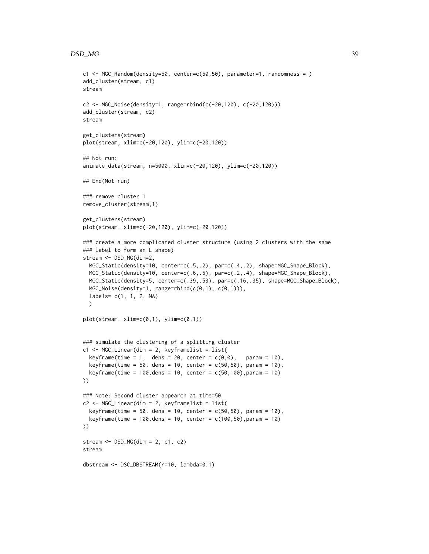#### $DSD\_MG$  39

```
c1 <- MGC_Random(density=50, center=c(50,50), parameter=1, randomness = )
add_cluster(stream, c1)
stream
c2 <- MGC_Noise(density=1, range=rbind(c(-20,120), c(-20,120)))
add_cluster(stream, c2)
stream
get_clusters(stream)
plot(stream, xlim=c(-20,120), ylim=c(-20,120))
## Not run:
animate_data(stream, n=5000, xlim=c(-20,120), ylim=c(-20,120))
## End(Not run)
### remove cluster 1
remove_cluster(stream,1)
get_clusters(stream)
plot(stream, xlim=c(-20,120), ylim=c(-20,120))
### create a more complicated cluster structure (using 2 clusters with the same
### label to form an L shape)
stream <- DSD_MG(dim=2,
  MGC_Static(density=10, center=c(.5,.2), par=c(.4,.2), shape=MGC_Shape_Block),
  MGC_Static(density=10, center=c(.6,.5), par=c(.2,.4), shape=MGC_Shape_Block),
  MGC_Static(density=5, center=c(.39,.53), par=c(.16,.35), shape=MGC_Shape_Block),
  MGC_Noise(density=1, range=rbind(c(0,1), c(0,1))),
  labels= c(1, 1, 2, NA)
  )
plot(stream, xlim=c(0,1), ylim=c(0,1))
### simulate the clustering of a splitting cluster
c1 <- MGC_Linear(dim = 2, keyframelist = list(
  keyframe(time = 1, dens = 20, center = c(\emptyset, \emptyset), param = 10),
  keyframe(time = 50, dens = 10, center = c(50, 50), param = 10),
  keyframe(time = 100,dens = 10, center = c(50,100),param = 10)
))
### Note: Second cluster appearch at time=50
c2 \leq MGC Linear(dim = 2, keyframelist = list(
  keyframe(time = 50, dens = 10, center = c(50, 50), param = 10),
  keyframe(time = 100,dens = 10, center = c(100,50),param = 10)
))
stream <- DSD_MG(dim = 2, c1, c2)
stream
dbstream <- DSC_DBSTREAM(r=10, lambda=0.1)
```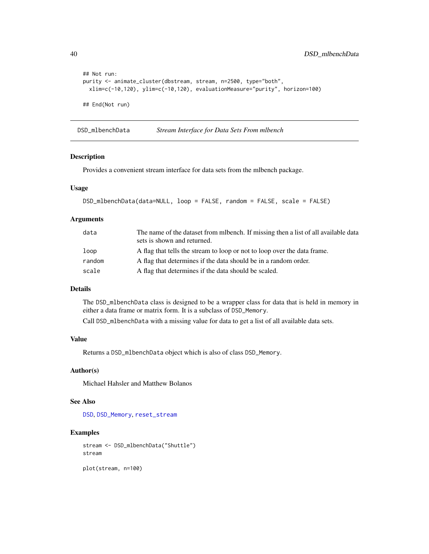```
## Not run:
purity <- animate_cluster(dbstream, stream, n=2500, type="both",
 xlim=c(-10,120), ylim=c(-10,120), evaluationMeasure="purity", horizon=100)
## End(Not run)
```
DSD\_mlbenchData *Stream Interface for Data Sets From mlbench*

## Description

Provides a convenient stream interface for data sets from the mlbench package.

## Usage

```
DSD_mlbenchData(data=NULL, loop = FALSE, random = FALSE, scale = FALSE)
```
# Arguments

| data   | The name of the dataset from mibench. If missing then a list of all available data<br>sets is shown and returned. |
|--------|-------------------------------------------------------------------------------------------------------------------|
| loop   | A flag that tells the stream to loop or not to loop over the data frame.                                          |
| random | A flag that determines if the data should be in a random order.                                                   |
| scale  | A flag that determines if the data should be scaled.                                                              |

## Details

The DSD\_mlbenchData class is designed to be a wrapper class for data that is held in memory in either a data frame or matrix form. It is a subclass of DSD\_Memory.

Call DSD\_mlbenchData with a missing value for data to get a list of all available data sets.

# Value

Returns a DSD\_mlbenchData object which is also of class DSD\_Memory.

# Author(s)

Michael Hahsler and Matthew Bolanos

# See Also

[DSD](#page-28-0), [DSD\\_Memory](#page-35-0), [reset\\_stream](#page-71-0)

## Examples

```
stream <- DSD_mlbenchData("Shuttle")
stream
```
plot(stream, n=100)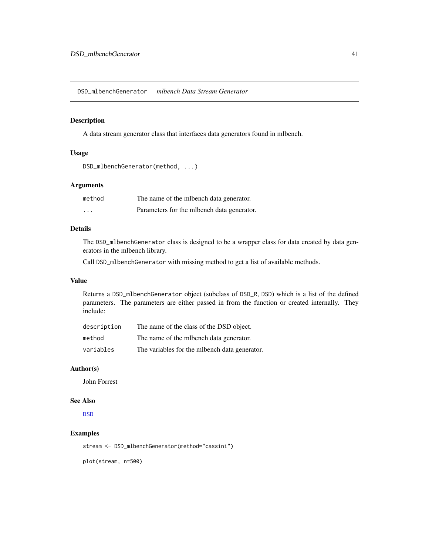DSD\_mlbenchGenerator *mlbench Data Stream Generator*

## Description

A data stream generator class that interfaces data generators found in mlbench.

#### Usage

```
DSD_mlbenchGenerator(method, ...)
```
# Arguments

| method  | The name of the milbench data generator.    |
|---------|---------------------------------------------|
| $\cdot$ | Parameters for the milbench data generator. |

# Details

The DSD\_mlbenchGenerator class is designed to be a wrapper class for data created by data generators in the mlbench library.

Call DSD\_mlbenchGenerator with missing method to get a list of available methods.

### Value

Returns a DSD\_mlbenchGenerator object (subclass of DSD\_R, DSD) which is a list of the defined parameters. The parameters are either passed in from the function or created internally. They include:

| description | The name of the class of the DSD object.         |
|-------------|--------------------------------------------------|
| method      | The name of the milbench data generator.         |
| variables   | The variables for the milteriangleria generator. |

## Author(s)

John Forrest

# See Also

**[DSD](#page-28-0)** 

## Examples

stream <- DSD\_mlbenchGenerator(method="cassini")

plot(stream, n=500)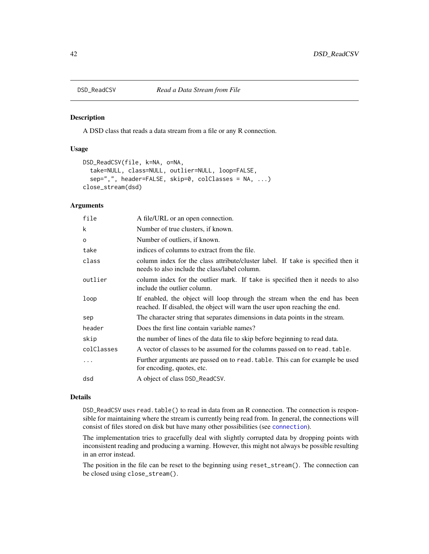<span id="page-41-0"></span>

A DSD class that reads a data stream from a file or any R connection.

## Usage

```
DSD_ReadCSV(file, k=NA, o=NA,
  take=NULL, class=NULL, outlier=NULL, loop=FALSE,
  sep=",", header=FALSE, skip=0, colClasses = NA, ...)
close_stream(dsd)
```
#### Arguments

| file       | A file/URL or an open connection.                                                                                                                       |
|------------|---------------------------------------------------------------------------------------------------------------------------------------------------------|
| k          | Number of true clusters, if known.                                                                                                                      |
| $\circ$    | Number of outliers, if known.                                                                                                                           |
| take       | indices of columns to extract from the file.                                                                                                            |
| class      | column index for the class attribute/cluster label. If take is specified then it<br>needs to also include the class/label column.                       |
| outlier    | column index for the outlier mark. If take is specified then it needs to also<br>include the outlier column.                                            |
| loop       | If enabled, the object will loop through the stream when the end has been<br>reached. If disabled, the object will warn the user upon reaching the end. |
| sep        | The character string that separates dimensions in data points in the stream.                                                                            |
| header     | Does the first line contain variable names?                                                                                                             |
| skip       | the number of lines of the data file to skip before beginning to read data.                                                                             |
| colClasses | A vector of classes to be assumed for the columns passed on to read. table.                                                                             |
| .          | Further arguments are passed on to read. table. This can for example be used<br>for encoding, quotes, etc.                                              |
| dsd        | A object of class DSD_ReadCSV.                                                                                                                          |
|            |                                                                                                                                                         |

## Details

DSD\_ReadCSV uses read.table() to read in data from an R connection. The connection is responsible for maintaining where the stream is currently being read from. In general, the connections will consist of files stored on disk but have many other possibilities (see [connection](#page-0-0)).

The implementation tries to gracefully deal with slightly corrupted data by dropping points with inconsistent reading and producing a warning. However, this might not always be possible resulting in an error instead.

The position in the file can be reset to the beginning using reset\_stream(). The connection can be closed using close\_stream().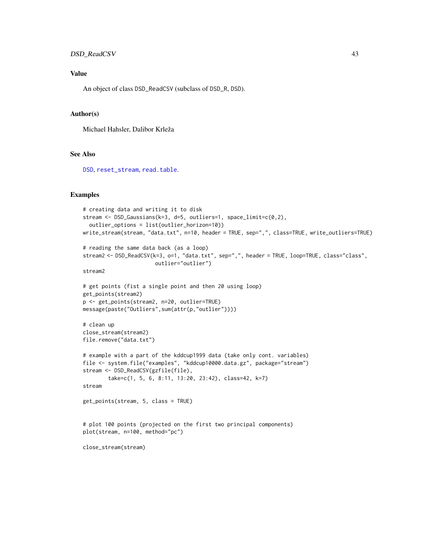## DSD\_ReadCSV 43

# Value

An object of class DSD\_ReadCSV (subclass of DSD\_R, DSD).

## Author(s)

Michael Hahsler, Dalibor Krleža

# See Also

[DSD](#page-28-0), [reset\\_stream](#page-71-0), [read.table](#page-0-0).

```
# creating data and writing it to disk
stream <- DSD_Gaussians(k=3, d=5, outliers=1, space_limit=c(0,2),
  outlier_options = list(outlier_horizon=10))
write_stream(stream, "data.txt", n=10, header = TRUE, sep=",", class=TRUE, write_outliers=TRUE)
# reading the same data back (as a loop)
stream2 <- DSD_ReadCSV(k=3, o=1, "data.txt", sep=",", header = TRUE, loop=TRUE, class="class",
                       outlier="outlier")
stream2
# get points (fist a single point and then 20 using loop)
get_points(stream2)
p <- get_points(stream2, n=20, outlier=TRUE)
message(paste("Outliers",sum(attr(p,"outlier"))))
# clean up
close_stream(stream2)
file.remove("data.txt")
# example with a part of the kddcup1999 data (take only cont. variables)
file <- system.file("examples", "kddcup10000.data.gz", package="stream")
stream <- DSD_ReadCSV(gzfile(file),
        take=c(1, 5, 6, 8:11, 13:20, 23:42), class=42, k=7)
stream
get_points(stream, 5, class = TRUE)
# plot 100 points (projected on the first two principal components)
plot(stream, n=100, method="pc")
close_stream(stream)
```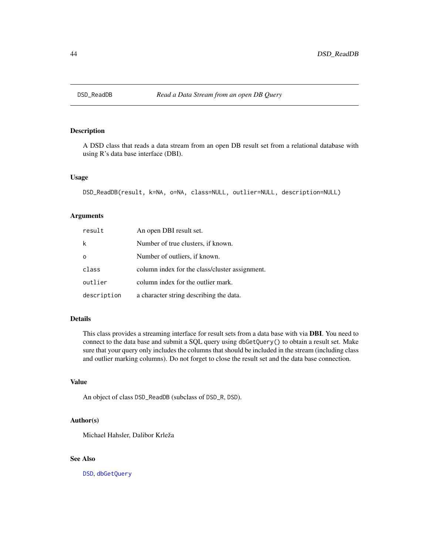A DSD class that reads a data stream from an open DB result set from a relational database with using R's data base interface (DBI).

#### Usage

```
DSD_ReadDB(result, k=NA, o=NA, class=NULL, outlier=NULL, description=NULL)
```
## Arguments

| result      | An open DBI result set.                        |
|-------------|------------------------------------------------|
| k           | Number of true clusters, if known.             |
| $\Omega$    | Number of outliers, if known.                  |
| class       | column index for the class/cluster assignment. |
| outlier     | column index for the outlier mark.             |
| description | a character string describing the data.        |

#### Details

This class provides a streaming interface for result sets from a data base with via DBI. You need to connect to the data base and submit a SQL query using dbGetQuery() to obtain a result set. Make sure that your query only includes the columns that should be included in the stream (including class and outlier marking columns). Do not forget to close the result set and the data base connection.

#### Value

An object of class DSD\_ReadDB (subclass of DSD\_R, DSD).

#### Author(s)

Michael Hahsler, Dalibor Krleža

## See Also

[DSD](#page-28-0), [dbGetQuery](#page-0-0)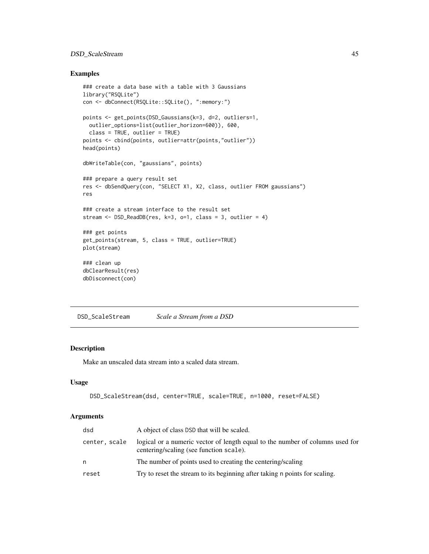# DSD\_ScaleStream 45

## Examples

```
### create a data base with a table with 3 Gaussians
library("RSQLite")
con <- dbConnect(RSQLite::SQLite(), ":memory:")
points <- get_points(DSD_Gaussians(k=3, d=2, outliers=1,
  outlier_options=list(outlier_horizon=600)), 600,
  class = TRUE, outlier = TRUE)
points <- cbind(points, outlier=attr(points,"outlier"))
head(points)
dbWriteTable(con, "gaussians", points)
### prepare a query result set
res <- dbSendQuery(con, "SELECT X1, X2, class, outlier FROM gaussians")
res
### create a stream interface to the result set
stream <- DSD_ReadDB(res, k=3, o=1, class = 3, outlier = 4)
### get points
get_points(stream, 5, class = TRUE, outlier=TRUE)
plot(stream)
### clean up
dbClearResult(res)
dbDisconnect(con)
```
<span id="page-44-0"></span>DSD\_ScaleStream *Scale a Stream from a DSD*

#### Description

Make an unscaled data stream into a scaled data stream.

#### Usage

```
DSD_ScaleStream(dsd, center=TRUE, scale=TRUE, n=1000, reset=FALSE)
```

| dsd           | A object of class DSD that will be scaled.                                                                               |
|---------------|--------------------------------------------------------------------------------------------------------------------------|
| center. scale | logical or a numeric vector of length equal to the number of columns used for<br>centering/scaling (see function scale). |
| n             | The number of points used to creating the centering/scaling                                                              |
| reset         | Try to reset the stream to its beginning after taking n points for scaling.                                              |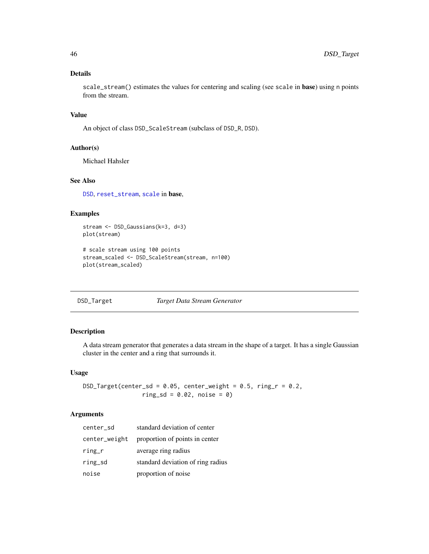## Details

scale\_stream() estimates the values for centering and scaling (see scale in base) using n points from the stream.

## Value

An object of class DSD\_ScaleStream (subclass of DSD\_R, DSD).

## Author(s)

Michael Hahsler

# See Also

[DSD](#page-28-0), [reset\\_stream](#page-71-0), [scale](#page-0-0) in base,

## Examples

```
stream <- DSD_Gaussians(k=3, d=3)
plot(stream)
```

```
# scale stream using 100 points
stream_scaled <- DSD_ScaleStream(stream, n=100)
plot(stream_scaled)
```
## DSD\_Target *Target Data Stream Generator*

# Description

A data stream generator that generates a data stream in the shape of a target. It has a single Gaussian cluster in the center and a ring that surrounds it.

## Usage

 $DSD_Target(center_s d = 0.05, center_weight = 0.5, ring_r = 0.2,$  $ring_s d = 0.02$ , noise = 0)

| center_sd     | standard deviation of center      |
|---------------|-----------------------------------|
| center_weight | proportion of points in center    |
| $r$ ing_ $r$  | average ring radius               |
| ring_sd       | standard deviation of ring radius |
| noise         | proportion of noise               |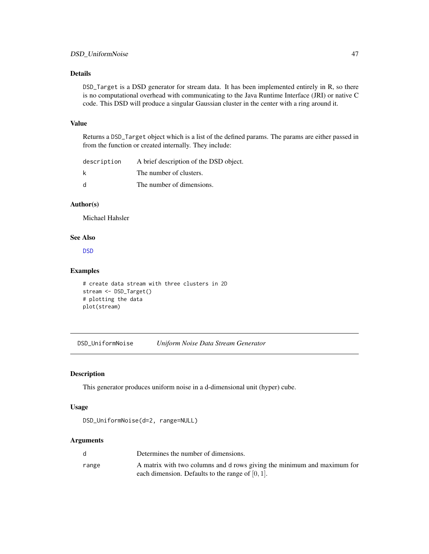## Details

DSD\_Target is a DSD generator for stream data. It has been implemented entirely in R, so there is no computational overhead with communicating to the Java Runtime Interface (JRI) or native C code. This DSD will produce a singular Gaussian cluster in the center with a ring around it.

# Value

Returns a DSD\_Target object which is a list of the defined params. The params are either passed in from the function or created internally. They include:

| description | A brief description of the DSD object. |
|-------------|----------------------------------------|
| k           | The number of clusters.                |
| d           | The number of dimensions.              |

# Author(s)

Michael Hahsler

#### See Also

[DSD](#page-28-0)

# Examples

```
# create data stream with three clusters in 2D
stream <- DSD_Target()
# plotting the data
plot(stream)
```
DSD\_UniformNoise *Uniform Noise Data Stream Generator*

# Description

This generator produces uniform noise in a d-dimensional unit (hyper) cube.

## Usage

```
DSD_UniformNoise(d=2, range=NULL)
```

|       | Determines the number of dimensions.                                    |
|-------|-------------------------------------------------------------------------|
| range | A matrix with two columns and d rows giving the minimum and maximum for |
|       | each dimension. Defaults to the range of $[0, 1]$ .                     |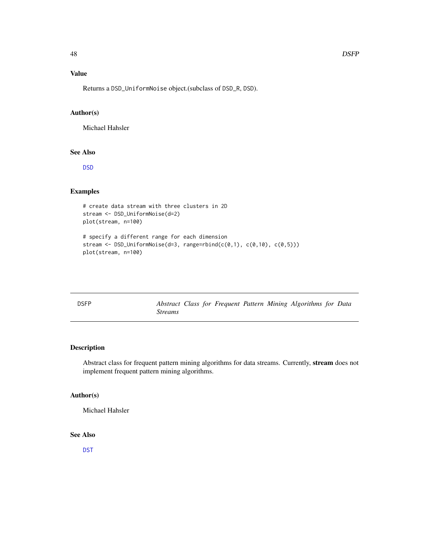# Value

Returns a DSD\_UniformNoise object.(subclass of DSD\_R, DSD).

## Author(s)

Michael Hahsler

## See Also

[DSD](#page-28-0)

# Examples

```
# create data stream with three clusters in 2D
stream <- DSD_UniformNoise(d=2)
plot(stream, n=100)
```

```
# specify a different range for each dimension
stream <- DSD_UniformNoise(d=3, range=rbind(c(0,1), c(0,10), c(0,5)))
plot(stream, n=100)
```
<span id="page-47-0"></span>

| <b>DSFP</b> |                |  |  | Abstract Class for Frequent Pattern Mining Algorithms for Data |  |
|-------------|----------------|--|--|----------------------------------------------------------------|--|
|             | <i>Streams</i> |  |  |                                                                |  |

## Description

Abstract class for frequent pattern mining algorithms for data streams. Currently, stream does not implement frequent pattern mining algorithms.

#### Author(s)

Michael Hahsler

# See Also

[DST](#page-51-0)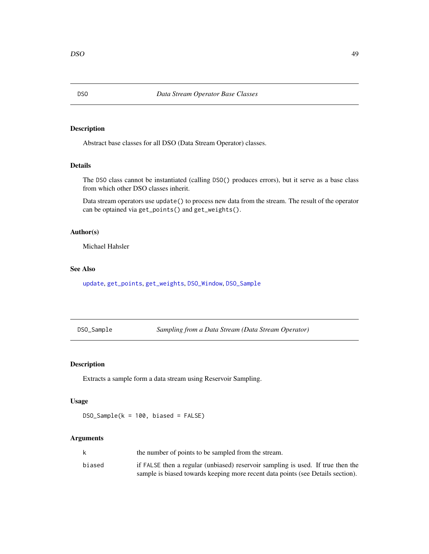<span id="page-48-1"></span>Abstract base classes for all DSO (Data Stream Operator) classes.

# Details

The DSO class cannot be instantiated (calling DSO() produces errors), but it serve as a base class from which other DSO classes inherit.

Data stream operators use update() to process new data from the stream. The result of the operator can be optained via get\_points() and get\_weights().

#### Author(s)

Michael Hahsler

## See Also

[update](#page-73-0), [get\\_points](#page-61-0), [get\\_weights](#page-62-0), [DSO\\_Window](#page-50-0), [DSO\\_Sample](#page-48-0)

<span id="page-48-0"></span>DSO\_Sample *Sampling from a Data Stream (Data Stream Operator)*

#### Description

Extracts a sample form a data stream using Reservoir Sampling.

## Usage

DSO\_Sample(k = 100, biased = FALSE)

| k      | the number of points to be sampled from the stream.                             |
|--------|---------------------------------------------------------------------------------|
| biased | if FALSE then a regular (unbiased) reservoir sampling is used. If true then the |
|        | sample is biased towards keeping more recent data points (see Details section). |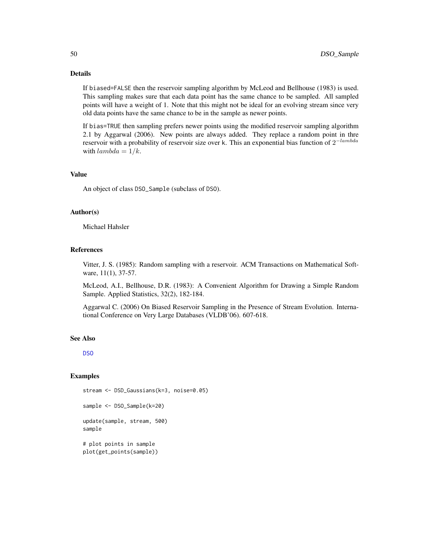# Details

If biased=FALSE then the reservoir sampling algorithm by McLeod and Bellhouse (1983) is used. This sampling makes sure that each data point has the same chance to be sampled. All sampled points will have a weight of 1. Note that this might not be ideal for an evolving stream since very old data points have the same chance to be in the sample as newer points.

If bias=TRUE then sampling prefers newer points using the modified reservoir sampling algorithm 2.1 by Aggarwal (2006). New points are always added. They replace a random point in thre reservoir with a probability of reservoir size over k. This an exponential bias function of  $2^{-lambda}$ with  $lambda = 1/k$ .

## Value

An object of class DSO\_Sample (subclass of DSO).

#### Author(s)

Michael Hahsler

## References

Vitter, J. S. (1985): Random sampling with a reservoir. ACM Transactions on Mathematical Software, 11(1), 37-57.

McLeod, A.I., Bellhouse, D.R. (1983): A Convenient Algorithm for Drawing a Simple Random Sample. Applied Statistics, 32(2), 182-184.

Aggarwal C. (2006) On Biased Reservoir Sampling in the Presence of Stream Evolution. International Conference on Very Large Databases (VLDB'06). 607-618.

## See Also

[DSO](#page-48-1)

```
stream <- DSD_Gaussians(k=3, noise=0.05)
sample <- DSO_Sample(k=20)
update(sample, stream, 500)
sample
# plot points in sample
plot(get_points(sample))
```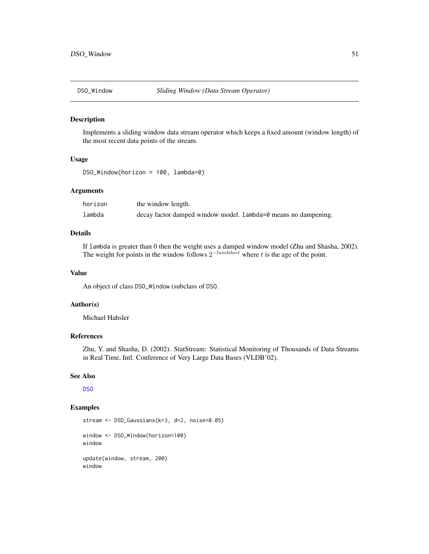<span id="page-50-0"></span>

Implements a sliding window data stream operator which keeps a fixed amount (window length) of the most recent data points of the stream.

### Usage

DSO\_Window(horizon = 100, lambda=0)

## Arguments

| horizon | the window length.                                             |
|---------|----------------------------------------------------------------|
| lambda  | decay factor damped window model. Lambda=0 means no dampening. |

# Details

If lambda is greater than 0 then the weight uses a damped window model (Zhu and Shasha, 2002). The weight for points in the window follows  $2^{-lambda*t}$  where t is the age of the point.

## Value

An object of class DSO\_Window (subclass of DSO.

#### Author(s)

Michael Hahsler

## References

Zhu, Y. and Shasha, D. (2002). StatStream: Statistical Monitoring of Thousands of Data Streams in Real Time, Intl. Conference of Very Large Data Bases (VLDB'02).

#### See Also

[DSO](#page-48-1)

```
stream <- DSD_Gaussians(k=3, d=2, noise=0.05)
window <- DSO_Window(horizon=100)
window
update(window, stream, 200)
window
```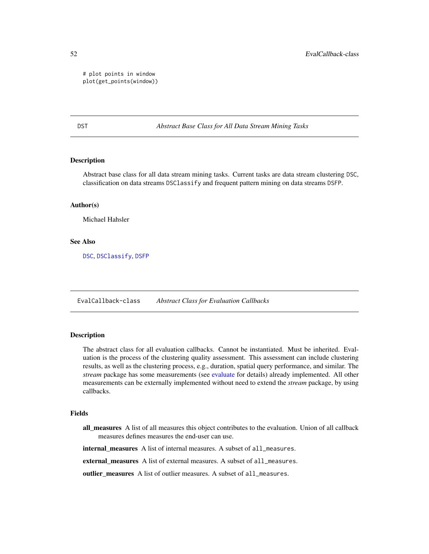# plot points in window plot(get\_points(window))

<span id="page-51-0"></span>DST *Abstract Base Class for All Data Stream Mining Tasks*

## Description

Abstract base class for all data stream mining tasks. Current tasks are data stream clustering DSC, classification on data streams DSClassify and frequent pattern mining on data streams DSFP.

## Author(s)

Michael Hahsler

## See Also

[DSC](#page-5-0), [DSClassify](#page-5-1), [DSFP](#page-47-0)

EvalCallback-class *Abstract Class for Evaluation Callbacks*

## <span id="page-51-1"></span>Description

The abstract class for all evaluation callbacks. Cannot be instantiated. Must be inherited. Evaluation is the process of the clustering quality assessment. This assessment can include clustering results, as well as the clustering process, e.g., duration, spatial query performance, and similar. The *stream* package has some measurements (see [evaluate](#page-53-0) for details) already implemented. All other measurements can be externally implemented without need to extend the *stream* package, by using callbacks.

#### Fields

all measures A list of all measures this object contributes to the evaluation. Union of all callback measures defines measures the end-user can use.

internal\_measures A list of internal measures. A subset of all\_measures.

external\_measures A list of external measures. A subset of all\_measures.

outlier\_measures A list of outlier measures. A subset of all\_measures.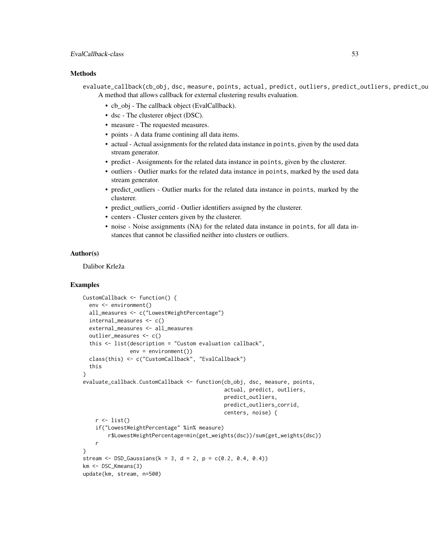# Methods

evaluate\_callback(cb\_obj, dsc, measure, points, actual, predict, outliers, predict\_outliers, predict\_ou A method that allows callback for external clustering results evaluation.

- cb\_obj The callback object (EvalCallback).
- dsc The clusterer object (DSC).
- measure The requested measures.
- points A data frame contining all data items.
- actual Actual assignments for the related data instance in points, given by the used data stream generator.
- predict Assignments for the related data instance in points, given by the clusterer.
- outliers Outlier marks for the related data instance in points, marked by the used data stream generator.
- predict\_outliers Outlier marks for the related data instance in points, marked by the clusterer.
- predict\_outliers\_corrid Outlier identifiers assigned by the clusterer.
- centers Cluster centers given by the clusterer.
- noise Noise assignments (NA) for the related data instance in points, for all data instances that cannot be classified neither into clusters or outliers.

# Author(s)

Dalibor Krleža

```
CustomCallback <- function() {
 env <- environment()
 all_measures <- c("LowestWeightPercentage")
 internal_measures <- c()
 external_measures <- all_measures
 outlier_measures <- c()
 this <- list(description = "Custom evaluation callback",
               env = environment())
 class(this) <- c("CustomCallback", "EvalCallback")
 this
}
evaluate_callback.CustomCallback <- function(cb_obj, dsc, measure, points,
                                              actual, predict, outliers,
                                              predict_outliers,
                                              predict_outliers_corrid,
                                              centers, noise) {
    r \leftarrow list()if("LowestWeightPercentage" %in% measure)
        r$LowestWeightPercentage=min(get_weights(dsc))/sum(get_weights(dsc))
   r
}
stream <- DSD_Gaussians(k = 3, d = 2, p = c(0.2, 0.4, 0.4))
km <- DSC_Kmeans(3)
update(km, stream, n=500)
```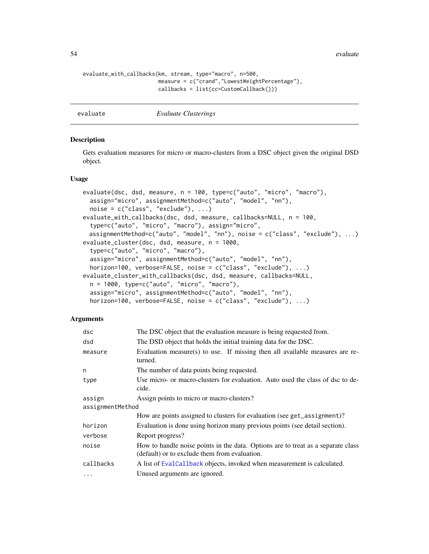54 evaluate experience of the second service of the service of the service of the service of the service of the service of the service of the service of the service of the service of the service of the service of the servi

```
evaluate_with_callbacks(km, stream, type="macro", n=500,
                        measure = c("crand","LowestWeightPercentage"),
                        callbacks = list(cc=CustomCallback()))
```
<span id="page-53-0"></span>

evaluate *Evaluate Clusterings*

## Description

Gets evaluation measures for micro or macro-clusters from a DSC object given the original DSD object.

#### Usage

```
evaluate(dsc, dsd, measure, n = 100, type=c("auto", "micro", "macro"),
  assign="micro", assignmentMethod=c("auto", "model", "nn"),
  noise = c("class", "exclude"), ...)evaluate_with_callbacks(dsc, dsd, measure, callbacks=NULL, n = 100,
  type=c("auto", "micro", "macro"), assign="micro",
 assignmentMethod=c("auto", "model", "nn"), noise = c("class", "exclude"), ...)
evaluate_cluster(dsc, dsd, measure, n = 1000,
  type=c("auto", "micro", "macro"),
  assign="micro", assignmentMethod=c("auto", "model", "nn"),
  horizon=100, verbose=FALSE, noise = c("class", "exclude"), ...)
evaluate_cluster_with_callbacks(dsc, dsd, measure, callbacks=NULL,
  n = 1000, type=c("auto", "micro", "macro"),
  assign="micro", assignmentMethod=c("auto", "model", "nn"),
  horizon=100, verbose=FALSE, noise = c("class", "exclude"), ...)
```

| dsc              | The DSC object that the evaluation measure is being requested from.                                                               |  |
|------------------|-----------------------------------------------------------------------------------------------------------------------------------|--|
| dsd              | The DSD object that holds the initial training data for the DSC.                                                                  |  |
| measure          | Evaluation measure(s) to use. If missing then all available measures are re-<br>turned.                                           |  |
| n                | The number of data points being requested.                                                                                        |  |
| type             | Use micro- or macro-clusters for evaluation. Auto used the class of dsc to de-<br>cide.                                           |  |
| assign           | Assign points to micro or macro-clusters?                                                                                         |  |
| assignmentMethod |                                                                                                                                   |  |
|                  | How are points assigned to clusters for evaluation (see get_assignment)?                                                          |  |
| horizon          | Evaluation is done using horizon many previous points (see detail section).                                                       |  |
| verbose          | Report progress?                                                                                                                  |  |
| noise            | How to handle noise points in the data. Options are to treat as a separate class<br>(default) or to exclude them from evaluation. |  |
| callbacks        | A list of EvalCallback objects, invoked when measurement is calculated.                                                           |  |
| $\ddotsc$        | Unused arguments are ignored.                                                                                                     |  |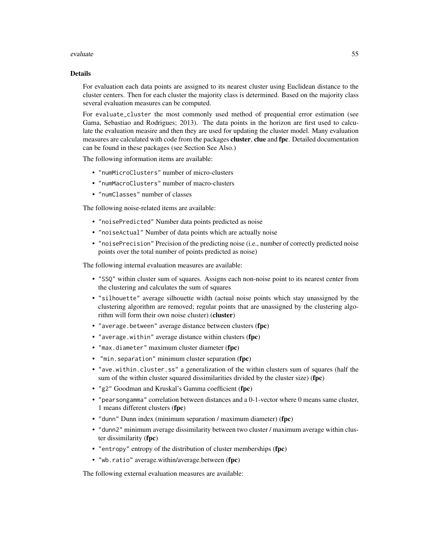#### evaluate 55

#### Details

For evaluation each data points are assigned to its nearest cluster using Euclidean distance to the cluster centers. Then for each cluster the majority class is determined. Based on the majority class several evaluation measures can be computed.

For evaluate\_cluster the most commonly used method of prequential error estimation (see Gama, Sebastiao and Rodrigues; 2013). The data points in the horizon are first used to calculate the evaluation measire and then they are used for updating the cluster model. Many evaluation measures are calculated with code from the packages **cluster, clue** and **fpc**. Detailed documentation can be found in these packages (see Section See Also.)

The following information items are available:

- "numMicroClusters" number of micro-clusters
- "numMacroClusters" number of macro-clusters
- "numClasses" number of classes

The following noise-related items are available:

- "noisePredicted" Number data points predicted as noise
- "noiseActual" Number of data points which are actually noise
- "noisePrecision" Precision of the predicting noise (i.e., number of correctly predicted noise points over the total number of points predicted as noise)

The following internal evaluation measures are available:

- "SSQ" within cluster sum of squares. Assigns each non-noise point to its nearest center from the clustering and calculates the sum of squares
- "silhouette" average silhouette width (actual noise points which stay unassigned by the clustering algorithm are removed; regular points that are unassigned by the clustering algorithm will form their own noise cluster) (cluster)
- "average.between" average distance between clusters (fpc)
- "average.within" average distance within clusters (fpc)
- "max.diameter" maximum cluster diameter (fpc)
- "min.separation" minimum cluster separation (fpc)
- "ave.within.cluster.ss" a generalization of the within clusters sum of squares (half the sum of the within cluster squared dissimilarities divided by the cluster size) (fpc)
- "g2" Goodman and Kruskal's Gamma coefficient (fpc)
- "pearsongamma" correlation between distances and a 0-1-vector where 0 means same cluster, 1 means different clusters (fpc)
- "dunn" Dunn index (minimum separation / maximum diameter) (fpc)
- "dunn2" minimum average dissimilarity between two cluster / maximum average within cluster dissimilarity (fpc)
- "entropy" entropy of the distribution of cluster memberships (fpc)
- "wb.ratio" average.within/average.between (fpc)

The following external evaluation measures are available: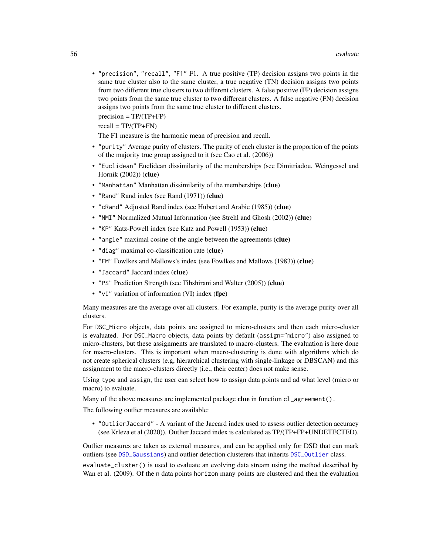• "precision", "recall", "F1" F1. A true positive (TP) decision assigns two points in the same true cluster also to the same cluster, a true negative (TN) decision assigns two points from two different true clusters to two different clusters. A false positive (FP) decision assigns two points from the same true cluster to two different clusters. A false negative (FN) decision assigns two points from the same true cluster to different clusters.

 $precision = TP/(TP+FP)$ 

 $recall = TP/(TP+FN)$ 

The F1 measure is the harmonic mean of precision and recall.

- "purity" Average purity of clusters. The purity of each cluster is the proportion of the points of the majority true group assigned to it (see Cao et al. (2006))
- "Euclidean" Euclidean dissimilarity of the memberships (see Dimitriadou, Weingessel and Hornik (2002)) (clue)
- "Manhattan" Manhattan dissimilarity of the memberships (clue)
- "Rand" Rand index (see Rand (1971)) (clue)
- "cRand" Adjusted Rand index (see Hubert and Arabie (1985)) (clue)
- "NMI" Normalized Mutual Information (see Strehl and Ghosh (2002)) (clue)
- "KP" Katz-Powell index (see Katz and Powell (1953)) (clue)
- "angle" maximal cosine of the angle between the agreements (clue)
- "diag" maximal co-classification rate (clue)
- "FM" Fowlkes and Mallows's index (see Fowlkes and Mallows (1983)) (clue)
- "Jaccard" Jaccard index (clue)
- "PS" Prediction Strength (see Tibshirani and Walter (2005)) (clue)
- "vi" variation of information (VI) index (fpc)

Many measures are the average over all clusters. For example, purity is the average purity over all clusters.

For DSC\_Micro objects, data points are assigned to micro-clusters and then each micro-cluster is evaluated. For DSC\_Macro objects, data points by default (assign="micro") also assigned to micro-clusters, but these assignments are translated to macro-clusters. The evaluation is here done for macro-clusters. This is important when macro-clustering is done with algorithms which do not create spherical clusters (e.g, hierarchical clustering with single-linkage or DBSCAN) and this assignment to the macro-clusters directly (i.e., their center) does not make sense.

Using type and assign, the user can select how to assign data points and ad what level (micro or macro) to evaluate.

Many of the above measures are implemented package clue in function  $cl\_agreement()$ .

The following outlier measures are available:

• "OutlierJaccard" - A variant of the Jaccard index used to assess outlier detection accuracy (see Krleza et al (2020)). Outlier Jaccard index is calculated as TP/(TP+FP+UNDETECTED).

Outlier measures are taken as external measures, and can be applied only for DSD that can mark outliers (see [DSD\\_Gaussians](#page-32-0)) and outlier detection clusterers that inherits [DSC\\_Outlier](#page-21-0) class.

evaluate\_cluster() is used to evaluate an evolving data stream using the method described by Wan et al. (2009). Of the n data points horizon many points are clustered and then the evaluation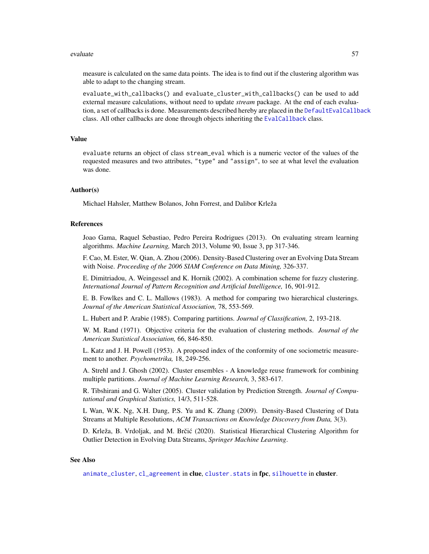#### evaluate 57

measure is calculated on the same data points. The idea is to find out if the clustering algorithm was able to adapt to the changing stream.

evaluate\_with\_callbacks() and evaluate\_cluster\_with\_callbacks() can be used to add external measure calculations, without need to update *stream* package. At the end of each evalua-tion, a set of callbacks is done. Measurements described hereby are placed in the [DefaultEvalCallback](#page-4-0) class. All other callbacks are done through objects inheriting the [EvalCallback](#page-51-1) class.

## Value

evaluate returns an object of class stream\_eval which is a numeric vector of the values of the requested measures and two attributes, "type" and "assign", to see at what level the evaluation was done.

#### Author(s)

Michael Hahsler, Matthew Bolanos, John Forrest, and Dalibor Krleža

#### References

Joao Gama, Raquel Sebastiao, Pedro Pereira Rodrigues (2013). On evaluating stream learning algorithms. *Machine Learning,* March 2013, Volume 90, Issue 3, pp 317-346.

F. Cao, M. Ester, W. Qian, A. Zhou (2006). Density-Based Clustering over an Evolving Data Stream with Noise. *Proceeding of the 2006 SIAM Conference on Data Mining,* 326-337.

E. Dimitriadou, A. Weingessel and K. Hornik (2002). A combination scheme for fuzzy clustering. *International Journal of Pattern Recognition and Artificial Intelligence,* 16, 901-912.

E. B. Fowlkes and C. L. Mallows (1983). A method for comparing two hierarchical clusterings. *Journal of the American Statistical Association,* 78, 553-569.

L. Hubert and P. Arabie (1985). Comparing partitions. *Journal of Classification,* 2, 193-218.

W. M. Rand (1971). Objective criteria for the evaluation of clustering methods. *Journal of the American Statistical Association,* 66, 846-850.

L. Katz and J. H. Powell (1953). A proposed index of the conformity of one sociometric measurement to another. *Psychometrika,* 18, 249-256.

A. Strehl and J. Ghosh (2002). Cluster ensembles - A knowledge reuse framework for combining multiple partitions. *Journal of Machine Learning Research,* 3, 583-617.

R. Tibshirani and G. Walter (2005). Cluster validation by Prediction Strength. *Journal of Computational and Graphical Statistics,* 14/3, 511-528.

L Wan, W.K. Ng, X.H. Dang, P.S. Yu and K. Zhang (2009). Density-Based Clustering of Data Streams at Multiple Resolutions, *ACM Transactions on Knowledge Discovery from Data,* 3(3).

D. Krleža, B. Vrdoljak, and M. Brčić (2020). Statistical Hierarchical Clustering Algorithm for Outlier Detection in Evolving Data Streams, *Springer Machine Learning*.

## See Also

[animate\\_cluster](#page-2-0), [cl\\_agreement](#page-0-0) in clue, cluster. stats in fpc, [silhouette](#page-0-0) in cluster.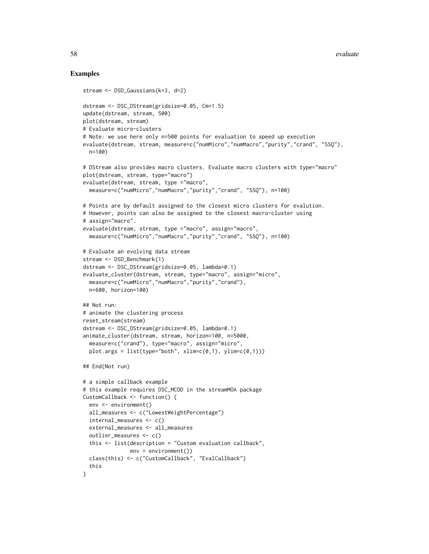```
stream <- DSD_Gaussians(k=3, d=2)
dstream <- DSC_DStream(gridsize=0.05, Cm=1.5)
update(dstream, stream, 500)
plot(dstream, stream)
# Evaluate micro-clusters
# Note: we use here only n=500 points for evaluation to speed up execution
evaluate(dstream, stream, measure=c("numMicro","numMacro","purity","crand", "SSQ"),
  n=100)
# DStream also provides macro clusters. Evaluate macro clusters with type="macro"
plot(dstream, stream, type="macro")
evaluate(dstream, stream, type ="macro",
  measure=c("numMicro","numMacro","purity","crand", "SSQ"), n=100)
# Points are by default assigned to the closest micro clusters for evalution.
# However, points can also be assigned to the closest macro-cluster using
# assign="macro".
evaluate(dstream, stream, type ="macro", assign="macro",
  measure=c("numMicro","numMacro","purity","crand", "SSQ"), n=100)
# Evaluate an evolving data stream
stream <- DSD_Benchmark(1)
dstream <- DSC_DStream(gridsize=0.05, lambda=0.1)
evaluate_cluster(dstream, stream, type="macro", assign="micro",
  measure=c("numMicro","numMacro","purity","crand"),
 n=600, horizon=100)
## Not run:
# animate the clustering process
reset_stream(stream)
dstream <- DSC_DStream(gridsize=0.05, lambda=0.1)
animate_cluster(dstream, stream, horizon=100, n=5000,
  measure=c("crand"), type="macro", assign="micro",
  plot.args = list(type="both", xlim=c((0,1), ylim=c((0,1)))
## End(Not run)
# a simple callback example
# this example requires DSC_MCOD in the streamMOA package
CustomCallback <- function() {
  env <- environment()
  all_measures <- c("LowestWeightPercentage")
  internal_measures <- c()
  external_measures <- all_measures
  outlier_measures <- c()
  this <- list(description = "Custom evaluation callback",
               env = environment())
  class(this) <- c("CustomCallback", "EvalCallback")
  this
}
```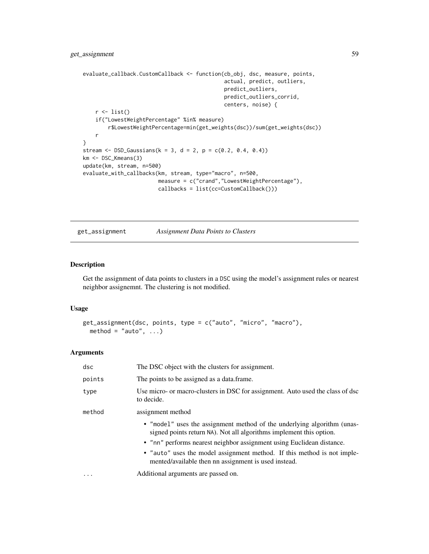```
evaluate_callback.CustomCallback <- function(cb_obj, dsc, measure, points,
                                             actual, predict, outliers,
                                             predict_outliers,
                                             predict_outliers_corrid,
                                             centers, noise) {
   r <- list()
   if("LowestWeightPercentage" %in% measure)
       r$LowestWeightPercentage=min(get_weights(dsc))/sum(get_weights(dsc))
   r
}
stream <- DSD_Gaussians(k = 3, d = 2, p = c(0.2, 0.4, 0.4))
km <- DSC_Kmeans(3)
update(km, stream, n=500)
evaluate_with_callbacks(km, stream, type="macro", n=500,
                        measure = c("crand","LowestWeightPercentage"),
                        callbacks = list(cc=CustomCallback()))
```
get\_assignment *Assignment Data Points to Clusters*

# Description

Get the assignment of data points to clusters in a DSC using the model's assignment rules or nearest neighbor assignemnt. The clustering is not modified.

## Usage

```
get_assignment(dsc, points, type = c("auto", "micro", "macro"),
 method = "auto", ...)
```

| dsc       | The DSC object with the clusters for assignment.                                                                                               |
|-----------|------------------------------------------------------------------------------------------------------------------------------------------------|
| points    | The points to be assigned as a data.frame.                                                                                                     |
| type      | Use micro- or macro-clusters in DSC for assignment. Auto used the class of dsc<br>to decide.                                                   |
| method    | assignment method                                                                                                                              |
|           | • "model" uses the assignment method of the underlying algorithm (unas-<br>signed points return NA). Not all algorithms implement this option. |
|           | • "nn" performs nearest neighbor assignment using Euclidean distance.                                                                          |
|           | • "auto" uses the model assignment method. If this method is not imple-<br>mented/available then nn assignment is used instead.                |
| $\ddotsc$ | Additional arguments are passed on.                                                                                                            |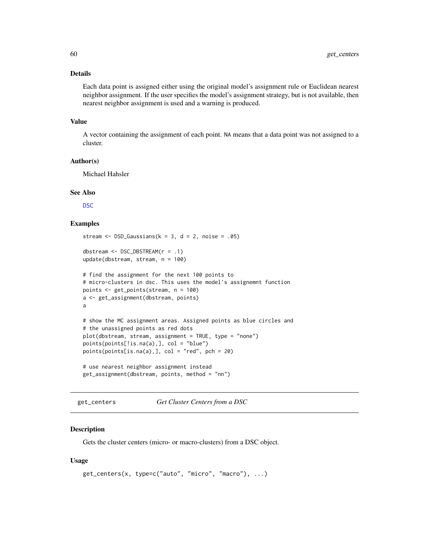## Details

Each data point is assigned either using the original model's assignment rule or Euclidean nearest neighbor assignment. If the user specifies the model's assignment strategy, but is not available, then nearest neighbor assignment is used and a warning is produced.

#### Value

A vector containing the assignment of each point. NA means that a data point was not assigned to a cluster.

# Author(s)

Michael Hahsler

## See Also

[DSC](#page-5-0)

## Examples

```
stream \leq DSD_Gaussians(k = 3, d = 2, noise = .05)
dbstream <- DSC_DBSTREAM(r = .1)
update(dbstream, stream, n = 100)
# find the assignment for the next 100 points to
# micro-clusters in dsc. This uses the model's assignemnt function
points <- get_points(stream, n = 100)
a <- get_assignment(dbstream, points)
a
# show the MC assignment areas. Assigned points as blue circles and
# the unassigned points as red dots
plot(dbstream, stream, assignment = TRUE, type = "none")
points(points[!is.na(a),], col = "blue")
points(points[is,na(a),], col = "red", pch = 20)# use nearest neighbor assignment instead
get_assignment(dbstream, points, method = "nn")
```
get\_centers *Get Cluster Centers from a DSC*

## Description

Gets the cluster centers (micro- or macro-clusters) from a DSC object.

#### Usage

```
get_centers(x, type=c("auto", "micro", "macro"), ...)
```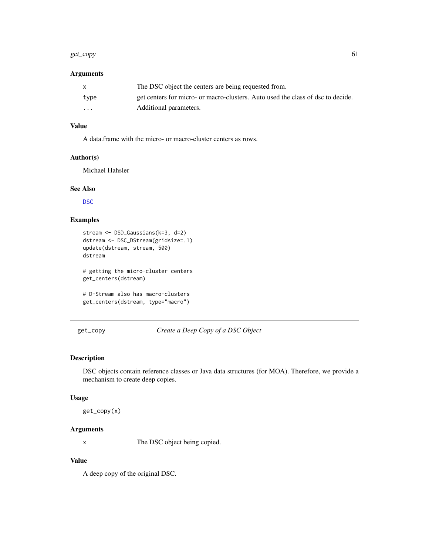#### get\_copy 61

# Arguments

| X        | The DSC object the centers are being requested from.                            |
|----------|---------------------------------------------------------------------------------|
| type     | get centers for micro- or macro-clusters. Auto used the class of dsc to decide. |
| $\cdots$ | Additional parameters.                                                          |

# Value

A data.frame with the micro- or macro-cluster centers as rows.

## Author(s)

Michael Hahsler

## See Also

[DSC](#page-5-0)

# Examples

```
stream <- DSD_Gaussians(k=3, d=2)
dstream <- DSC_DStream(gridsize=.1)
update(dstream, stream, 500)
dstream
# getting the micro-cluster centers
get_centers(dstream)
```

```
# D-Stream also has macro-clusters
get_centers(dstream, type="macro")
```
# get\_copy *Create a Deep Copy of a DSC Object*

# Description

DSC objects contain reference classes or Java data structures (for MOA). Therefore, we provide a mechanism to create deep copies.

## Usage

get\_copy(x)

# Arguments

x The DSC object being copied.

# Value

A deep copy of the original DSC.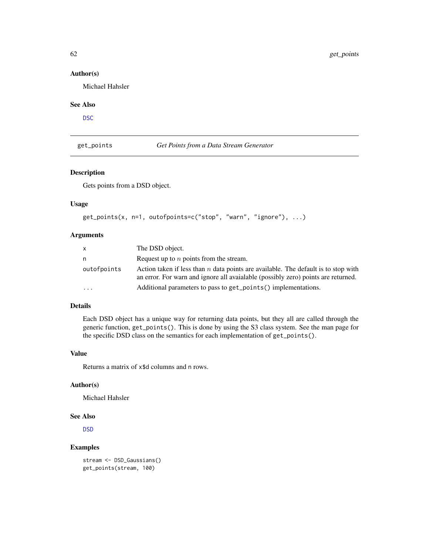## Author(s)

Michael Hahsler

## See Also

[DSC](#page-5-0)

# <span id="page-61-0"></span>get\_points *Get Points from a Data Stream Generator*

# Description

Gets points from a DSD object.

# Usage

```
get_points(x, n=1, outofpoints=c("stop", "warn", "ignore"), ...)
```
## Arguments

| $\mathsf{x}$ | The DSD object.                                                                                                                                                         |
|--------------|-------------------------------------------------------------------------------------------------------------------------------------------------------------------------|
| n            | Request up to $n$ points from the stream.                                                                                                                               |
| outofpoints  | Action taken if less than n data points are available. The default is to stop with<br>an error. For warn and ignore all avaialable (possibly zero) points are returned. |
| .            | Additional parameters to pass to get_points() implementations.                                                                                                          |

# Details

Each DSD object has a unique way for returning data points, but they all are called through the generic function, get\_points(). This is done by using the S3 class system. See the man page for the specific DSD class on the semantics for each implementation of get\_points().

# Value

Returns a matrix of x\$d columns and n rows.

# Author(s)

Michael Hahsler

#### See Also

[DSD](#page-28-0)

# Examples

stream <- DSD\_Gaussians() get\_points(stream, 100)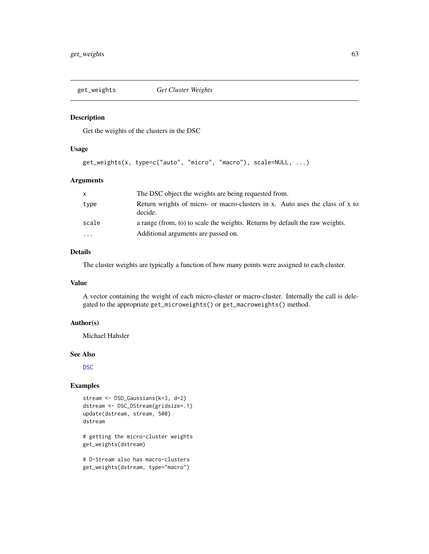<span id="page-62-0"></span>

Get the weights of the clusters in the DSC

#### Usage

```
get_weights(x, type=c("auto", "micro", "macro"), scale=NULL, ...)
```
## Arguments

| X                       | The DSC object the weights are being requested from.                                    |
|-------------------------|-----------------------------------------------------------------------------------------|
| type                    | Return wrights of micro- or macro-clusters in x. Auto uses the class of x to<br>decide. |
| scale                   | a range (from, to) to scale the weights. Returns by default the raw weights.            |
| $\cdot$ $\cdot$ $\cdot$ | Additional arguments are passed on.                                                     |

## Details

The cluster weights are typically a function of how many points were assigned to each cluster.

## Value

A vector containing the weight of each micro-cluster or macro-cluster. Internally the call is delegated to the appropriate get\_microweights() or get\_macroweights() method.

# Author(s)

Michael Hahsler

#### See Also

[DSC](#page-5-0)

## Examples

```
stream <- DSD_Gaussians(k=3, d=2)
dstream <- DSC_DStream(gridsize=.1)
update(dstream, stream, 500)
dstream
```
# getting the micro-cluster weights get\_weights(dstream)

# D-Stream also has macro-clusters get\_weights(dstream, type="macro")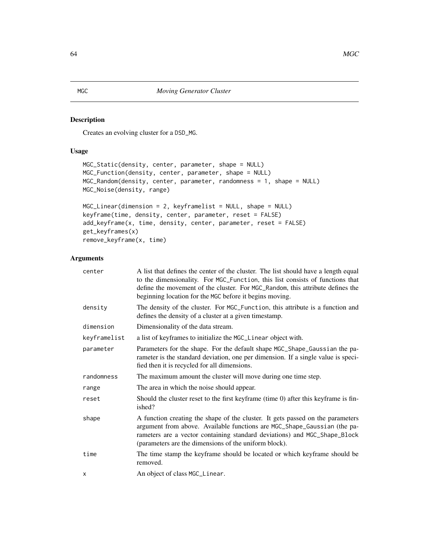<span id="page-63-0"></span>Creates an evolving cluster for a DSD\_MG.

# Usage

```
MGC_Static(density, center, parameter, shape = NULL)
MGC_Function(density, center, parameter, shape = NULL)
MGC_Random(density, center, parameter, randomness = 1, shape = NULL)
MGC_Noise(density, range)
```

```
MGC_Linear(dimension = 2, keyframelist = NULL, shape = NULL)
keyframe(time, density, center, parameter, reset = FALSE)
add_keyframe(x, time, density, center, parameter, reset = FALSE)
get_keyframes(x)
remove_keyframe(x, time)
```

| center       | A list that defines the center of the cluster. The list should have a length equal<br>to the dimensionality. For MGC_Function, this list consists of functions that<br>define the movement of the cluster. For MGC_Random, this attribute defines the<br>beginning location for the MGC before it begins moving. |
|--------------|------------------------------------------------------------------------------------------------------------------------------------------------------------------------------------------------------------------------------------------------------------------------------------------------------------------|
| density      | The density of the cluster. For MGC_Function, this attribute is a function and<br>defines the density of a cluster at a given timestamp.                                                                                                                                                                         |
| dimension    | Dimensionality of the data stream.                                                                                                                                                                                                                                                                               |
| keyframelist | a list of keyframes to initialize the MGC_Linear object with.                                                                                                                                                                                                                                                    |
| parameter    | Parameters for the shape. For the default shape MGC_Shape_Gaussian the pa-<br>rameter is the standard deviation, one per dimension. If a single value is speci-<br>fied then it is recycled for all dimensions.                                                                                                  |
| randomness   | The maximum amount the cluster will move during one time step.                                                                                                                                                                                                                                                   |
| range        | The area in which the noise should appear.                                                                                                                                                                                                                                                                       |
| reset        | Should the cluster reset to the first keyframe (time 0) after this keyframe is fin-<br>ished?                                                                                                                                                                                                                    |
| shape        | A function creating the shape of the cluster. It gets passed on the parameters<br>argument from above. Available functions are MGC_Shape_Gaussian (the pa-<br>rameters are a vector containing standard deviations) and MGC_Shape_Block<br>(parameters are the dimensions of the uniform block).                 |
| time         | The time stamp the keyframe should be located or which keyframe should be<br>removed.                                                                                                                                                                                                                            |
| x            | An object of class MGC_Linear.                                                                                                                                                                                                                                                                                   |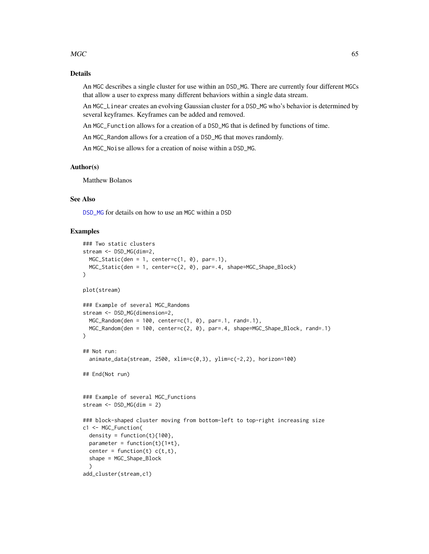#### $MGC$  65

## Details

An MGC describes a single cluster for use within an DSD\_MG. There are currently four different MGCs that allow a user to express many different behaviors within a single data stream.

An MGC\_Linear creates an evolving Gaussian cluster for a DSD\_MG who's behavior is determined by several keyframes. Keyframes can be added and removed.

An MGC\_Function allows for a creation of a DSD\_MG that is defined by functions of time.

An MGC\_Random allows for a creation of a DSD\_MG that moves randomly.

An MGC\_Noise allows for a creation of noise within a DSD\_MG.

#### Author(s)

Matthew Bolanos

## See Also

[DSD\\_MG](#page-37-0) for details on how to use an MGC within a DSD

```
### Two static clusters
stream <- DSD_MG(dim=2,
 MGC_Static(den = 1, center=c(1, 0), par=.1),MGC_Static(den = 1, center=c(2, 0), par=.4, shape=MGC_Shape_Block)
)
plot(stream)
### Example of several MGC_Randoms
stream <- DSD_MG(dimension=2,
  MGC_Random(den = 100, center=c(1, 0), par=.1, rand=.1),
  MGC_Random(den = 100, center=c(2, 0), par=.4, shape=MGC_Shape_Block, rand=.1)
)
## Not run:
  animate_data(stream, 2500, xlim=c(0,3), ylim=c(-2,2), horizon=100)
## End(Not run)
### Example of several MGC_Functions
stream <- DSD_MG(dim = 2)
### block-shaped cluster moving from bottom-left to top-right increasing size
c1 <- MGC_Function(
  density = function(t)\{100\},
  parameter = function(t)\{1*t\},
  center = function(t) c(t,t),
  shape = MGC_Shape_Block
  \lambdaadd_cluster(stream,c1)
```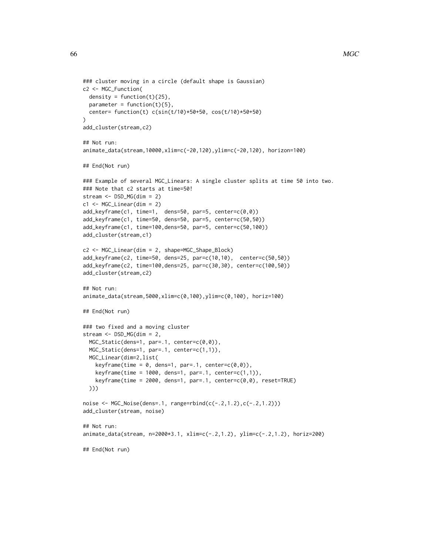```
### cluster moving in a circle (default shape is Gaussian)
c2 <- MGC_Function(
 density = function(t)\{25\},parameter = function(t){5},
  center= function(t) c(sin(t/10)*50+50, cos(t/10)*50+50)
)
add_cluster(stream,c2)
## Not run:
animate_data(stream,10000,xlim=c(-20,120),ylim=c(-20,120), horizon=100)
## End(Not run)
### Example of several MGC_Linears: A single cluster splits at time 50 into two.
### Note that c2 starts at time=50!
stream <- DSD_MG(dim = 2)
c1 <- MGC_Linear(dim = 2)
add_keyframe(c1, time=1, dens=50, par=5, center=c(0,0))
add_keyframe(c1, time=50, dens=50, par=5, center=c(50,50))
add_keyframe(c1, time=100,dens=50, par=5, center=c(50,100))
add_cluster(stream,c1)
c2 <- MGC_Linear(dim = 2, shape=MGC_Shape_Block)
add_keyframe(c2, time=50, dens=25, par=c(10,10), center=c(50,50))
add_keyframe(c2, time=100,dens=25, par=c(30,30), center=c(100,50))
add_cluster(stream,c2)
## Not run:
animate_data(stream,5000,xlim=c(0,100),ylim=c(0,100), horiz=100)
## End(Not run)
### two fixed and a moving cluster
stream <- DSD_MG(dim = 2,
  MGC_Static(dens=1, par=.1, center=c(0,0)),
  MGC_Static(dens=1, par=.1, center=c(1,1)),
  MGC_Linear(dim=2,list(
    keyframe(time = 0, dens=1, par=.1, center=c(0,0)),
    keyframe(time = 1000, dens=1, par=.1, center=c(1,1)),keyframe(time = 2000, dens=1, par=.1, center=c(0,0), reset=TRUE))))
noise <- MGC_Noise(dens=.1, range=rbind(c(-.2,1.2),c(-.2,1.2)))
add_cluster(stream, noise)
## Not run:
animate_data(stream, n=2000*3.1, xlim=c(-.2,1.2), ylim=c(-.2,1.2), horiz=200)
## End(Not run)
```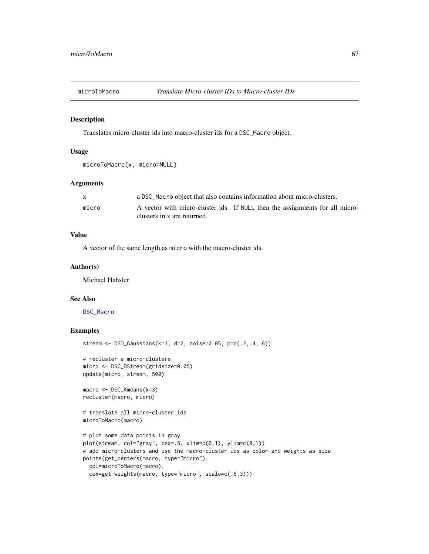Translates micro-cluster ids into macro-cluster ids for a DSC\_Macro object.

#### Usage

```
microToMacro(x, micro=NULL)
```
## Arguments

| X     | a DSC_Macro object that also contains information about micro-clusters.                                     |
|-------|-------------------------------------------------------------------------------------------------------------|
| micro | A vector with micro-cluster ids. If NULL then the assignments for all micro-<br>clusters in x are returned. |

# Value

A vector of the same length as micro with the macro-cluster ids.

#### Author(s)

Michael Hahsler

#### See Also

[DSC\\_Macro](#page-20-0)

# Examples

```
stream <- DSD_Gaussians(k=3, d=2, noise=0.05, p=c(.2,.4,.6))
```

```
# recluster a micro-clusters
micro <- DSC_DStream(gridsize=0.05)
update(micro, stream, 500)
```

```
macro <- DSC_Kmeans(k=3)
recluster(macro, micro)
```
# translate all micro-cluster ids microToMacro(macro)

```
# plot some data points in gray
plot(stream, col="gray", cex=.5, xlim=c(0,1), ylim=c(0,1))
# add micro-clusters and use the macro-cluster ids as color and weights as size
points(get_centers(macro, type="micro"),
 col=microToMacro(macro),
 cex=get_weights(macro, type="micro", scale=c(.5,3)))
```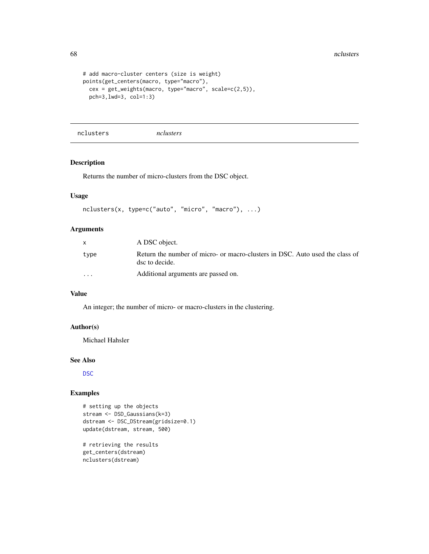```
# add macro-cluster centers (size is weight)
points(get_centers(macro, type="macro"),
  cex = get_weights(macro, type="macro", scale=c(2,5)),
  pch=3,lwd=3, col=1:3)
```
nclusters *nclusters*

## Description

Returns the number of micro-clusters from the DSC object.

# Usage

```
nclusters(x, type=c("auto", "micro", "macro"), ...)
```
## Arguments

|                         | A DSC object.                                                                                  |
|-------------------------|------------------------------------------------------------------------------------------------|
| type                    | Return the number of micro- or macro-clusters in DSC. Auto used the class of<br>dsc to decide. |
| $\cdot$ $\cdot$ $\cdot$ | Additional arguments are passed on.                                                            |

## Value

An integer; the number of micro- or macro-clusters in the clustering.

## Author(s)

Michael Hahsler

#### See Also

[DSC](#page-5-0)

## Examples

```
# setting up the objects
stream <- DSD_Gaussians(k=3)
dstream <- DSC_DStream(gridsize=0.1)
update(dstream, stream, 500)
```
# retrieving the results get\_centers(dstream) nclusters(dstream)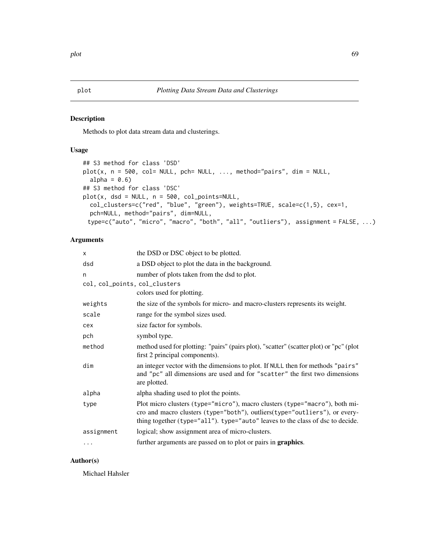Methods to plot data stream data and clusterings.

# Usage

```
## S3 method for class 'DSD'
plot(x, n = 500, col = NULL, pch = NULL, ..., method="pairs", dim = NULL,alpha = 0.6)
## S3 method for class 'DSC'
plot(x, dsd = NULL, n = 500, col\_points=NULL,col_clusters=c("red", "blue", "green"), weights=TRUE, scale=c(1,5), cex=1,
 pch=NULL, method="pairs", dim=NULL,
 type=c("auto", "micro", "macro", "both", "all", "outliers"), assignment = FALSE, ...)
```
# Arguments

| x                             | the DSD or DSC object to be plotted.                                                                                                                                                                                                        |
|-------------------------------|---------------------------------------------------------------------------------------------------------------------------------------------------------------------------------------------------------------------------------------------|
| dsd                           | a DSD object to plot the data in the background.                                                                                                                                                                                            |
| n                             | number of plots taken from the dsd to plot.                                                                                                                                                                                                 |
| col, col_points, col_clusters |                                                                                                                                                                                                                                             |
|                               | colors used for plotting.                                                                                                                                                                                                                   |
| weights                       | the size of the symbols for micro- and macro-clusters represents its weight.                                                                                                                                                                |
| scale                         | range for the symbol sizes used.                                                                                                                                                                                                            |
| cex                           | size factor for symbols.                                                                                                                                                                                                                    |
| pch                           | symbol type.                                                                                                                                                                                                                                |
| method                        | method used for plotting: "pairs" (pairs plot), "scatter" (scatter plot) or "pc" (plot<br>first 2 principal components).                                                                                                                    |
| dim                           | an integer vector with the dimensions to plot. If NULL then for methods "pairs"<br>and "pc" all dimensions are used and for "scatter" the first two dimensions<br>are plotted.                                                              |
| alpha                         | alpha shading used to plot the points.                                                                                                                                                                                                      |
| type                          | Plot micro clusters (type="micro"), macro clusters (type="macro"), both mi-<br>cro and macro clusters (type="both"), outliers(type="outliers"), or every-<br>thing together (type="all"). type="auto" leaves to the class of dsc to decide. |
| assignment                    | logical; show assignment area of micro-clusters.                                                                                                                                                                                            |
| $\cdots$                      | further arguments are passed on to plot or pairs in <b>graphics</b> .                                                                                                                                                                       |
|                               |                                                                                                                                                                                                                                             |

# Author(s)

Michael Hahsler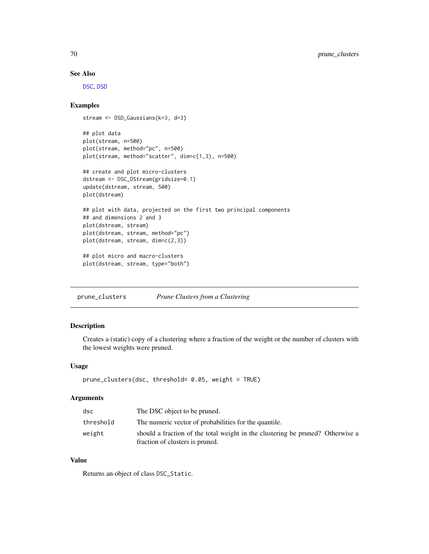## See Also

[DSC](#page-5-0), [DSD](#page-28-0)

## Examples

```
stream <- DSD_Gaussians(k=3, d=3)
## plot data
plot(stream, n=500)
plot(stream, method="pc", n=500)
plot(stream, method="scatter", dim=c(1,3), n=500)
## create and plot micro-clusters
dstream <- DSC_DStream(gridsize=0.1)
update(dstream, stream, 500)
plot(dstream)
## plot with data, projected on the first two principal components
## and dimensions 2 and 3
plot(dstream, stream)
```
## plot micro and macro-clusters plot(dstream, stream, type="both")

plot(dstream, stream, method="pc") plot(dstream, stream, dim=c(2,3))

prune\_clusters *Prune Clusters from a Clustering*

## Description

Creates a (static) copy of a clustering where a fraction of the weight or the number of clusters with the lowest weights were pruned.

#### Usage

```
prune_clusters(dsc, threshold= 0.05, weight = TRUE)
```
## Arguments

| dsc       | The DSC object to be pruned.                                                                                      |
|-----------|-------------------------------------------------------------------------------------------------------------------|
| threshold | The numeric vector of probabilities for the quantile.                                                             |
| weight    | should a fraction of the total weight in the clustering be pruned? Otherwise a<br>fraction of clusters is pruned. |

# Value

Returns an object of class DSC\_Static.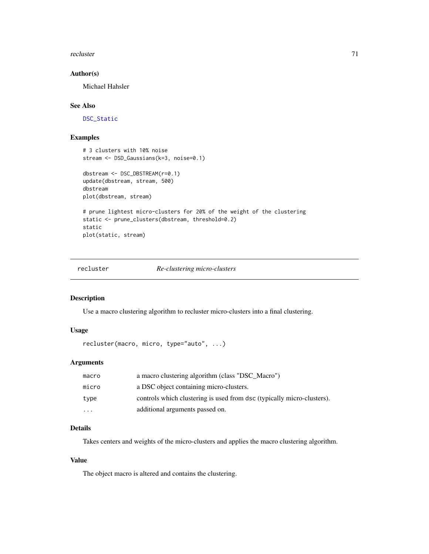recluster 71

## Author(s)

Michael Hahsler

## See Also

[DSC\\_Static](#page-25-0)

## Examples

```
# 3 clusters with 10% noise
stream <- DSD_Gaussians(k=3, noise=0.1)
dbstream <- DSC_DBSTREAM(r=0.1)
update(dbstream, stream, 500)
dbstream
plot(dbstream, stream)
# prune lightest micro-clusters for 20% of the weight of the clustering
static <- prune_clusters(dbstream, threshold=0.2)
static
plot(static, stream)
```
# recluster *Re-clustering micro-clusters*

#### Description

Use a macro clustering algorithm to recluster micro-clusters into a final clustering.

## Usage

```
recluster(macro, micro, type="auto", ...)
```
## Arguments

| macro     | a macro clustering algorithm (class "DSC Macro")                       |
|-----------|------------------------------------------------------------------------|
| micro     | a DSC object containing micro-clusters.                                |
| type      | controls which clustering is used from dsc (typically micro-clusters). |
| $\ddotsc$ | additional arguments passed on.                                        |

## Details

Takes centers and weights of the micro-clusters and applies the macro clustering algorithm.

## Value

The object macro is altered and contains the clustering.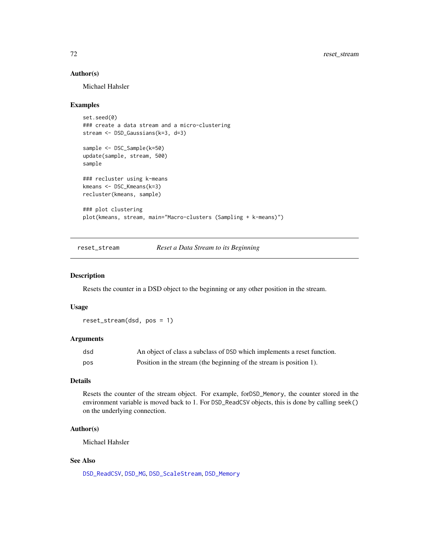## Author(s)

Michael Hahsler

#### Examples

```
set.seed(0)
### create a data stream and a micro-clustering
stream <- DSD_Gaussians(k=3, d=3)
sample <- DSC_Sample(k=50)
update(sample, stream, 500)
sample
### recluster using k-means
kmeans <- DSC_Kmeans(k=3)
recluster(kmeans, sample)
### plot clustering
plot(kmeans, stream, main="Macro-clusters (Sampling + k-means)")
```
<span id="page-71-0"></span>reset\_stream *Reset a Data Stream to its Beginning*

#### Description

Resets the counter in a DSD object to the beginning or any other position in the stream.

## Usage

reset\_stream(dsd, pos = 1)

## Arguments

| dsd | An object of class a subclass of DSD which implements a reset function. |
|-----|-------------------------------------------------------------------------|
| pos | Position in the stream (the beginning of the stream is position 1).     |

## Details

Resets the counter of the stream object. For example, forDSD\_Memory, the counter stored in the environment variable is moved back to 1. For DSD\_ReadCSV objects, this is done by calling seek() on the underlying connection.

## Author(s)

Michael Hahsler

# See Also

[DSD\\_ReadCSV](#page-41-0), [DSD\\_MG](#page-37-0), [DSD\\_ScaleStream](#page-44-0), [DSD\\_Memory](#page-35-0)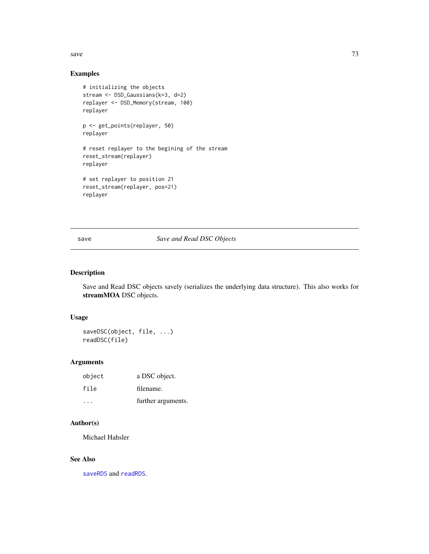<span id="page-72-0"></span>save  $\sim$  73

# Examples

```
# initializing the objects
stream <- DSD_Gaussians(k=3, d=2)
replayer <- DSD_Memory(stream, 100)
replayer
p <- get_points(replayer, 50)
replayer
# reset replayer to the begining of the stream
reset_stream(replayer)
replayer
# set replayer to position 21
reset_stream(replayer, pos=21)
replayer
```
save *Save and Read DSC Objects*

# Description

Save and Read DSC objects savely (serializes the underlying data structure). This also works for streamMOA DSC objects.

#### Usage

saveDSC(object, file, ...) readDSC(file)

# Arguments

| object | a DSC object.      |
|--------|--------------------|
| file   | filename.          |
| .      | further arguments. |

# Author(s)

Michael Hahsler

## See Also

[saveRDS](#page-0-0) and [readRDS](#page-0-0).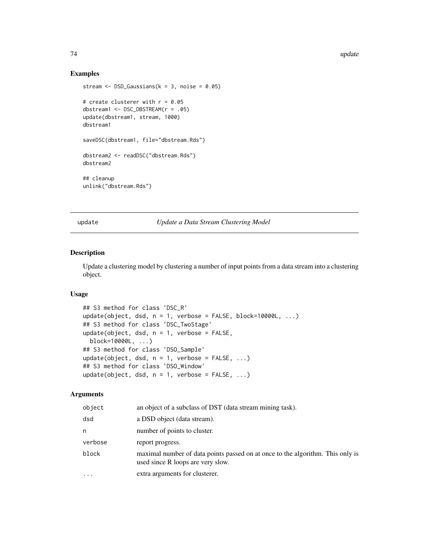## Examples

```
stream \leq DSD_Gaussians(k = 3, noise = 0.05)
# create clusterer with r = 0.05dbstream1 <- DSC_DBSTREAM(r = .05)
update(dbstream1, stream, 1000)
dbstream1
saveDSC(dbstream1, file="dbstream.Rds")
dbstream2 <- readDSC("dbstream.Rds")
dbstream2
## cleanup
unlink("dbstream.Rds")
```
update *Update a Data Stream Clustering Model*

#### Description

Update a clustering model by clustering a number of input points from a data stream into a clustering object.

#### Usage

```
## S3 method for class 'DSC_R'
update(object, dsd, n = 1, verbose = FALSE, block=10000L, ...)## S3 method for class 'DSC_TwoStage'
update(object, dsd, n = 1, verbose = FALSE,block=10000L, ...)
## S3 method for class 'DSO_Sample'
update(object, dsd, n = 1, verbose = FALSE, ...)
## S3 method for class 'DSO_Window'
update(object, dsd, n = 1, verbose = FALSE, ...)
```
#### Arguments

| object  | an object of a subclass of DST (data stream mining task).                                                           |
|---------|---------------------------------------------------------------------------------------------------------------------|
| dsd     | a DSD object (data stream).                                                                                         |
| n       | number of points to cluster.                                                                                        |
| verbose | report progress.                                                                                                    |
| block   | maximal number of data points passed on at once to the algorithm. This only is<br>used since R loops are very slow. |
| .       | extra arguments for clusterer.                                                                                      |

<span id="page-73-0"></span>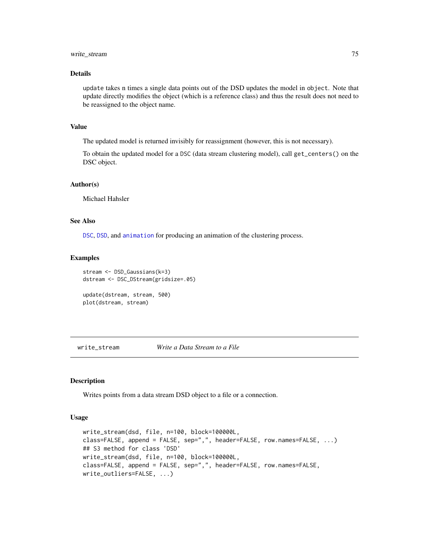# <span id="page-74-0"></span>write\_stream 75

#### Details

update takes n times a single data points out of the DSD updates the model in object. Note that update directly modifies the object (which is a reference class) and thus the result does not need to be reassigned to the object name.

## Value

The updated model is returned invisibly for reassignment (however, this is not necessary).

To obtain the updated model for a DSC (data stream clustering model), call get\_centers() on the DSC object.

#### Author(s)

Michael Hahsler

#### See Also

[DSC](#page-5-0), [DSD](#page-28-0), and [animation](#page-2-0) for producing an animation of the clustering process.

#### Examples

```
stream <- DSD_Gaussians(k=3)
dstream <- DSC_DStream(gridsize=.05)
update(dstream, stream, 500)
```

```
plot(dstream, stream)
```
write\_stream *Write a Data Stream to a File*

# Description

Writes points from a data stream DSD object to a file or a connection.

#### Usage

```
write_stream(dsd, file, n=100, block=100000L,
class=FALSE, append = FALSE, sep=",", header=FALSE, row.names=FALSE, ...)
## S3 method for class 'DSD'
write_stream(dsd, file, n=100, block=100000L,
class=FALSE, append = FALSE, sep=",", header=FALSE, row.names=FALSE,
write_outliers=FALSE, ...)
```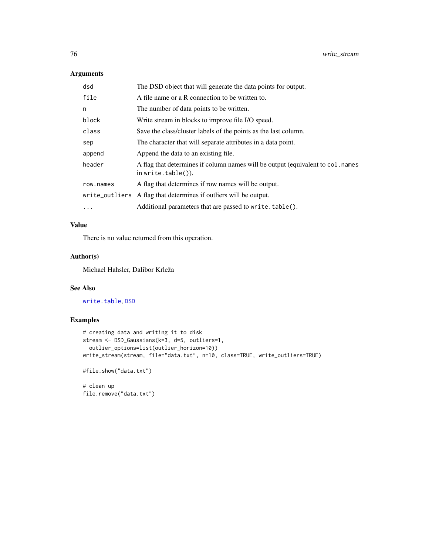## <span id="page-75-0"></span>Arguments

| dsd       | The DSD object that will generate the data points for output.                                         |
|-----------|-------------------------------------------------------------------------------------------------------|
| file      | A file name or a R connection to be written to.                                                       |
| n         | The number of data points to be written.                                                              |
| block     | Write stream in blocks to improve file I/O speed.                                                     |
| class     | Save the class/cluster labels of the points as the last column.                                       |
| sep       | The character that will separate attributes in a data point.                                          |
| append    | Append the data to an existing file.                                                                  |
| header    | A flag that determines if column names will be output (equivalent to col. names<br>in write.table()). |
| row.names | A flag that determines if row names will be output.                                                   |
|           | write_outliers A flag that determines if outliers will be output.                                     |
| $\ddotsc$ | Additional parameters that are passed to write.table().                                               |

# Value

There is no value returned from this operation.

## Author(s)

Michael Hahsler, Dalibor Krleža

# See Also

[write.table](#page-0-0), [DSD](#page-28-0)

## Examples

```
# creating data and writing it to disk
stream <- DSD_Gaussians(k=3, d=5, outliers=1,
 outlier_options=list(outlier_horizon=10))
write_stream(stream, file="data.txt", n=10, class=TRUE, write_outliers=TRUE)
#file.show("data.txt")
```
# clean up file.remove("data.txt")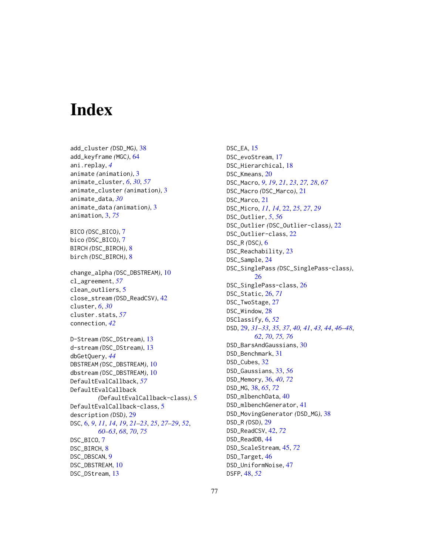# Index

add\_cluster *(*DSD\_MG*)*, [38](#page-37-0) add\_keyframe *(*MGC*)*, [64](#page-63-0) ani.replay, *[4](#page-3-0)* animate *(*animation*)*, [3](#page-2-1) animate\_cluster, *[6](#page-5-1)*, *[30](#page-29-0)*, *[57](#page-56-0)* animate\_cluster *(*animation*)*, [3](#page-2-1) animate\_data, *[30](#page-29-0)* animate\_data *(*animation*)*, [3](#page-2-1) animation, [3,](#page-2-1) *[75](#page-74-0)* BICO *(*DSC\_BICO*)*, [7](#page-6-0) bico *(*DSC\_BICO*)*, [7](#page-6-0) BIRCH *(*DSC\_BIRCH*)*, [8](#page-7-0) birch *(*DSC\_BIRCH*)*, [8](#page-7-0) change\_alpha *(*DSC\_DBSTREAM*)*, [10](#page-9-0) cl\_agreement, *[57](#page-56-0)* clean\_outliers, [5](#page-4-0) close\_stream *(*DSD\_ReadCSV*)*, [42](#page-41-0) cluster, *[6](#page-5-1)*, *[30](#page-29-0)* cluster.stats, *[57](#page-56-0)* connection, *[42](#page-41-0)* D-Stream *(*DSC\_DStream*)*, [13](#page-12-0) d-stream *(*DSC\_DStream*)*, [13](#page-12-0) dbGetQuery, *[44](#page-43-0)* DBSTREAM *(*DSC\_DBSTREAM*)*, [10](#page-9-0) dbstream *(*DSC\_DBSTREAM*)*, [10](#page-9-0) DefaultEvalCallback, *[57](#page-56-0)* DefaultEvalCallback *(*DefaultEvalCallback-class*)*, [5](#page-4-0) DefaultEvalCallback-class, [5](#page-4-0) description *(*DSD*)*, [29](#page-28-1) DSC, [6,](#page-5-1) *[9](#page-8-0)*, *[11](#page-10-0)*, *[14](#page-13-0)*, *[19](#page-18-0)*, *[21–](#page-20-0)[23](#page-22-0)*, *[25](#page-24-0)*, *[27–](#page-26-0)[29](#page-28-1)*, *[52](#page-51-0)*, *[60](#page-59-0)[–63](#page-62-0)*, *[68](#page-67-0)*, *[70](#page-69-0)*, *[75](#page-74-0)* DSC\_BICO, [7](#page-6-0) DSC\_BIRCH, [8](#page-7-0) DSC\_DBSCAN, [9](#page-8-0) DSC\_DBSTREAM, [10](#page-9-0) DSC\_DStream, [13](#page-12-0)

DSC\_EA, [15](#page-14-0) DSC\_evoStream, [17](#page-16-0) DSC\_Hierarchical, [18](#page-17-0) DSC\_Kmeans, [20](#page-19-0) DSC\_Macro, *[9](#page-8-0)*, *[19](#page-18-0)*, *[21](#page-20-0)*, *[23](#page-22-0)*, *[27,](#page-26-0) [28](#page-27-0)*, *[67](#page-66-0)* DSC\_Macro *(*DSC\_Marco*)*, [21](#page-20-0) DSC\_Marco, [21](#page-20-0) DSC\_Micro, *[11](#page-10-0)*, *[14](#page-13-0)*, [22,](#page-21-0) *[25](#page-24-0)*, *[27](#page-26-0)*, *[29](#page-28-1)* DSC\_Outlier, *[5](#page-4-0)*, *[56](#page-55-0)* DSC\_Outlier *(*DSC\_Outlier-class*)*, [22](#page-21-0) DSC\_Outlier-class, [22](#page-21-0) DSC\_R *(*DSC*)*, [6](#page-5-1) DSC\_Reachability, [23](#page-22-0) DSC\_Sample, [24](#page-23-0) DSC\_SinglePass *(*DSC\_SinglePass-class*)*, [26](#page-25-0) DSC\_SinglePass-class, [26](#page-25-0) DSC\_Static, [26,](#page-25-0) *[71](#page-70-0)* DSC\_TwoStage, [27](#page-26-0) DSC\_Window, [28](#page-27-0) DSClassify, [6,](#page-5-1) *[52](#page-51-0)* DSD, [29,](#page-28-1) *[31](#page-30-0)[–33](#page-32-0)*, *[35](#page-34-0)*, *[37](#page-36-0)*, *[40,](#page-39-0) [41](#page-40-0)*, *[43,](#page-42-0) [44](#page-43-0)*, *[46](#page-45-0)[–48](#page-47-0)*, *[62](#page-61-0)*, *[70](#page-69-0)*, *[75,](#page-74-0) [76](#page-75-0)* DSD\_BarsAndGaussians, [30](#page-29-0) DSD\_Benchmark, [31](#page-30-0) DSD\_Cubes, [32](#page-31-0) DSD\_Gaussians, [33,](#page-32-0) *[56](#page-55-0)* DSD\_Memory, [36,](#page-35-0) *[40](#page-39-0)*, *[72](#page-71-0)* DSD\_MG, [38,](#page-37-0) *[65](#page-64-0)*, *[72](#page-71-0)* DSD\_mlbenchData, [40](#page-39-0) DSD\_mlbenchGenerator, [41](#page-40-0) DSD\_MovingGenerator *(*DSD\_MG*)*, [38](#page-37-0) DSD\_R *(*DSD*)*, [29](#page-28-1) DSD\_ReadCSV, [42,](#page-41-0) *[72](#page-71-0)* DSD\_ReadDB, [44](#page-43-0) DSD\_ScaleStream, [45,](#page-44-0) *[72](#page-71-0)* DSD\_Target, [46](#page-45-0) DSD\_UniformNoise, [47](#page-46-0) DSFP, [48,](#page-47-0) *[52](#page-51-0)*